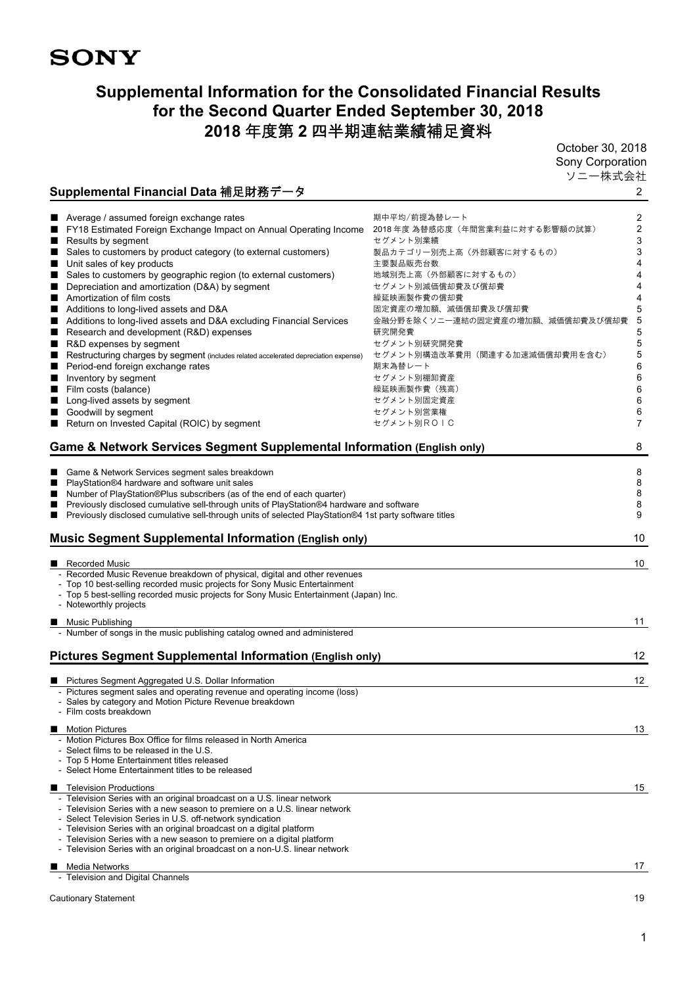# **SONY**

# **Supplemental Information for the Consolidated Financial Results for the Second Quarter Ended September 30, 2018 2018** 年度第 **2** 四半期連結業績補足資料

October 30, 2018 Sony Corporation ソニー株式会社

# **Supplemental Financial Data** 補足財務データ 2

| ш<br>■<br>н<br>■<br>н | Average / assumed foreign exchange rates<br>FY18 Estimated Foreign Exchange Impact on Annual Operating Income<br>Results by segment<br>Sales to customers by product category (to external customers)<br>Unit sales of key products<br>Sales to customers by geographic region (to external customers)<br>Depreciation and amortization (D&A) by segment<br>■ Amortization of film costs<br>Additions to long-lived assets and D&A<br>Additions to long-lived assets and D&A excluding Financial Services<br>Research and development (R&D) expenses<br>R&D expenses by segment<br>Restructuring charges by segment (includes related accelerated depreciation expense) | 期中平均/前提為替レート<br>2018 年度 為替感応度(年間営業利益に対する影響額の試算)<br>セグメント別業績<br>製品カテゴリー別売上高(外部顧客に対するもの)<br>主要製品販売台数<br>地域別売上高(外部顧客に対するもの)<br>セグメント別減価償却費及び償却費<br>繰延映画製作費の償却費<br>固定資産の増加額、減価償却費及び償却費<br>金融分野を除くソニー連結の固定資産の増加額、減価償却費及び償却費<br>研究開発費<br>セグメント別研究開発費<br>セグメント別構造改革費用(関連する加速減価償却費用を含む) | 2<br>$\overline{\mathbf{c}}$<br>3<br>3<br>4<br>4<br>4<br>4<br>5<br>5<br>5<br>5<br>5 |
|-----------------------|-------------------------------------------------------------------------------------------------------------------------------------------------------------------------------------------------------------------------------------------------------------------------------------------------------------------------------------------------------------------------------------------------------------------------------------------------------------------------------------------------------------------------------------------------------------------------------------------------------------------------------------------------------------------------|---------------------------------------------------------------------------------------------------------------------------------------------------------------------------------------------------------------------------------------------------------------------------------|-------------------------------------------------------------------------------------|
| ■                     | Period-end foreign exchange rates                                                                                                                                                                                                                                                                                                                                                                                                                                                                                                                                                                                                                                       | 期末為替レート<br>セグメント別棚卸資産                                                                                                                                                                                                                                                           | 6<br>6                                                                              |
| ■                     | Inventory by segment                                                                                                                                                                                                                                                                                                                                                                                                                                                                                                                                                                                                                                                    | 繰延映画製作費(残高)                                                                                                                                                                                                                                                                     | 6                                                                                   |
| н<br>■                | Film costs (balance)<br>Long-lived assets by segment                                                                                                                                                                                                                                                                                                                                                                                                                                                                                                                                                                                                                    | セグメント別固定資産                                                                                                                                                                                                                                                                      | 6                                                                                   |
|                       | Goodwill by segment                                                                                                                                                                                                                                                                                                                                                                                                                                                                                                                                                                                                                                                     | セグメント別営業権                                                                                                                                                                                                                                                                       | 6                                                                                   |
|                       | Return on Invested Capital (ROIC) by segment                                                                                                                                                                                                                                                                                                                                                                                                                                                                                                                                                                                                                            | セグメント別ROIC                                                                                                                                                                                                                                                                      | $\overline{7}$                                                                      |
|                       |                                                                                                                                                                                                                                                                                                                                                                                                                                                                                                                                                                                                                                                                         |                                                                                                                                                                                                                                                                                 |                                                                                     |
|                       | Game & Network Services Segment Supplemental Information (English only)                                                                                                                                                                                                                                                                                                                                                                                                                                                                                                                                                                                                 |                                                                                                                                                                                                                                                                                 | 8                                                                                   |
|                       |                                                                                                                                                                                                                                                                                                                                                                                                                                                                                                                                                                                                                                                                         |                                                                                                                                                                                                                                                                                 |                                                                                     |
|                       | Game & Network Services segment sales breakdown<br>PlayStation®4 hardware and software unit sales                                                                                                                                                                                                                                                                                                                                                                                                                                                                                                                                                                       |                                                                                                                                                                                                                                                                                 | 8<br>8                                                                              |
|                       | Number of PlayStation®Plus subscribers (as of the end of each quarter)                                                                                                                                                                                                                                                                                                                                                                                                                                                                                                                                                                                                  |                                                                                                                                                                                                                                                                                 | $\bf 8$                                                                             |
| ■                     | Previously disclosed cumulative sell-through units of PlayStation®4 hardware and software                                                                                                                                                                                                                                                                                                                                                                                                                                                                                                                                                                               |                                                                                                                                                                                                                                                                                 | $\bf 8$                                                                             |
| ■                     | Previously disclosed cumulative sell-through units of selected PlayStation®4 1st party software titles                                                                                                                                                                                                                                                                                                                                                                                                                                                                                                                                                                  |                                                                                                                                                                                                                                                                                 | 9                                                                                   |
|                       |                                                                                                                                                                                                                                                                                                                                                                                                                                                                                                                                                                                                                                                                         |                                                                                                                                                                                                                                                                                 |                                                                                     |
|                       | <b>Music Segment Supplemental Information (English only)</b>                                                                                                                                                                                                                                                                                                                                                                                                                                                                                                                                                                                                            |                                                                                                                                                                                                                                                                                 | 10                                                                                  |
|                       | Recorded Music                                                                                                                                                                                                                                                                                                                                                                                                                                                                                                                                                                                                                                                          |                                                                                                                                                                                                                                                                                 | 10                                                                                  |
|                       | - Recorded Music Revenue breakdown of physical, digital and other revenues                                                                                                                                                                                                                                                                                                                                                                                                                                                                                                                                                                                              |                                                                                                                                                                                                                                                                                 |                                                                                     |
|                       | - Top 10 best-selling recorded music projects for Sony Music Entertainment                                                                                                                                                                                                                                                                                                                                                                                                                                                                                                                                                                                              |                                                                                                                                                                                                                                                                                 |                                                                                     |
|                       | - Top 5 best-selling recorded music projects for Sony Music Entertainment (Japan) Inc.                                                                                                                                                                                                                                                                                                                                                                                                                                                                                                                                                                                  |                                                                                                                                                                                                                                                                                 |                                                                                     |
|                       | - Noteworthly projects                                                                                                                                                                                                                                                                                                                                                                                                                                                                                                                                                                                                                                                  |                                                                                                                                                                                                                                                                                 |                                                                                     |
|                       | ■ Music Publishing                                                                                                                                                                                                                                                                                                                                                                                                                                                                                                                                                                                                                                                      |                                                                                                                                                                                                                                                                                 | 11                                                                                  |
|                       | - Number of songs in the music publishing catalog owned and administered                                                                                                                                                                                                                                                                                                                                                                                                                                                                                                                                                                                                |                                                                                                                                                                                                                                                                                 |                                                                                     |
|                       |                                                                                                                                                                                                                                                                                                                                                                                                                                                                                                                                                                                                                                                                         |                                                                                                                                                                                                                                                                                 |                                                                                     |
|                       | <b>Pictures Segment Supplemental Information (English only)</b>                                                                                                                                                                                                                                                                                                                                                                                                                                                                                                                                                                                                         |                                                                                                                                                                                                                                                                                 | 12                                                                                  |
|                       |                                                                                                                                                                                                                                                                                                                                                                                                                                                                                                                                                                                                                                                                         |                                                                                                                                                                                                                                                                                 |                                                                                     |
|                       | ■ Pictures Segment Aggregated U.S. Dollar Information                                                                                                                                                                                                                                                                                                                                                                                                                                                                                                                                                                                                                   |                                                                                                                                                                                                                                                                                 | 12                                                                                  |
|                       | - Pictures segment sales and operating revenue and operating income (loss)<br>- Sales by category and Motion Picture Revenue breakdown                                                                                                                                                                                                                                                                                                                                                                                                                                                                                                                                  |                                                                                                                                                                                                                                                                                 |                                                                                     |
|                       | - Film costs breakdown                                                                                                                                                                                                                                                                                                                                                                                                                                                                                                                                                                                                                                                  |                                                                                                                                                                                                                                                                                 |                                                                                     |
|                       |                                                                                                                                                                                                                                                                                                                                                                                                                                                                                                                                                                                                                                                                         |                                                                                                                                                                                                                                                                                 |                                                                                     |
|                       | <b>Motion Pictures</b>                                                                                                                                                                                                                                                                                                                                                                                                                                                                                                                                                                                                                                                  |                                                                                                                                                                                                                                                                                 | 13                                                                                  |
|                       | - Motion Pictures Box Office for films released in North America                                                                                                                                                                                                                                                                                                                                                                                                                                                                                                                                                                                                        |                                                                                                                                                                                                                                                                                 |                                                                                     |
|                       | - Select films to be released in the U.S.<br>- Top 5 Home Entertainment titles released                                                                                                                                                                                                                                                                                                                                                                                                                                                                                                                                                                                 |                                                                                                                                                                                                                                                                                 |                                                                                     |
|                       | - Select Home Entertainment titles to be released                                                                                                                                                                                                                                                                                                                                                                                                                                                                                                                                                                                                                       |                                                                                                                                                                                                                                                                                 |                                                                                     |
|                       |                                                                                                                                                                                                                                                                                                                                                                                                                                                                                                                                                                                                                                                                         |                                                                                                                                                                                                                                                                                 |                                                                                     |
| ■                     | <b>Television Productions</b><br>- Television Series with an original broadcast on a U.S. linear network                                                                                                                                                                                                                                                                                                                                                                                                                                                                                                                                                                |                                                                                                                                                                                                                                                                                 | 15                                                                                  |
|                       | - Television Series with a new season to premiere on a U.S. linear network                                                                                                                                                                                                                                                                                                                                                                                                                                                                                                                                                                                              |                                                                                                                                                                                                                                                                                 |                                                                                     |
|                       | - Select Television Series in U.S. off-network syndication                                                                                                                                                                                                                                                                                                                                                                                                                                                                                                                                                                                                              |                                                                                                                                                                                                                                                                                 |                                                                                     |
|                       | - Television Series with an original broadcast on a digital platform                                                                                                                                                                                                                                                                                                                                                                                                                                                                                                                                                                                                    |                                                                                                                                                                                                                                                                                 |                                                                                     |
|                       | - Television Series with a new season to premiere on a digital platform                                                                                                                                                                                                                                                                                                                                                                                                                                                                                                                                                                                                 |                                                                                                                                                                                                                                                                                 |                                                                                     |
|                       | - Television Series with an original broadcast on a non-U.S. linear network                                                                                                                                                                                                                                                                                                                                                                                                                                                                                                                                                                                             |                                                                                                                                                                                                                                                                                 |                                                                                     |
|                       | ■ Media Networks                                                                                                                                                                                                                                                                                                                                                                                                                                                                                                                                                                                                                                                        |                                                                                                                                                                                                                                                                                 | 17                                                                                  |
|                       | - Television and Digital Channels                                                                                                                                                                                                                                                                                                                                                                                                                                                                                                                                                                                                                                       |                                                                                                                                                                                                                                                                                 |                                                                                     |
|                       |                                                                                                                                                                                                                                                                                                                                                                                                                                                                                                                                                                                                                                                                         |                                                                                                                                                                                                                                                                                 |                                                                                     |
|                       | Cautionary Statement                                                                                                                                                                                                                                                                                                                                                                                                                                                                                                                                                                                                                                                    |                                                                                                                                                                                                                                                                                 | 19                                                                                  |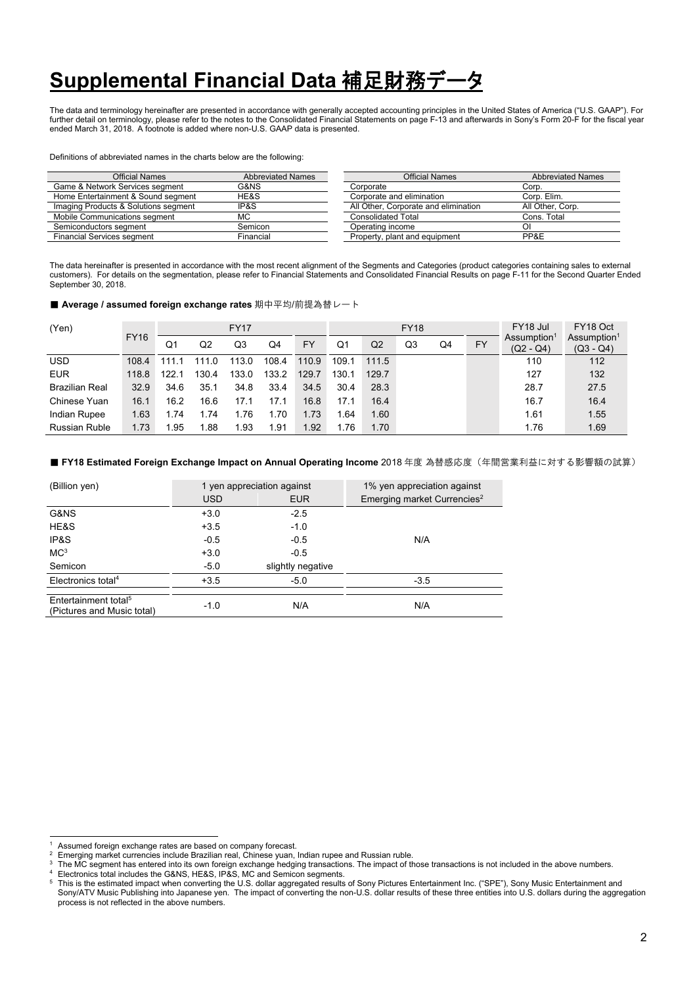# **Supplemental Financial Data 補足財務デ-**

The data and terminology hereinafter are presented in accordance with generally accepted accounting principles in the United States of America ("U.S. GAAP"). For further detail on terminology, please refer to the notes to the Consolidated Financial Statements on page F-13 and afterwards in Sony's Form 20-F for the fiscal year ended March 31, 2018. A footnote is added where non-U.S. GAAP data is presented.

#### Definitions of abbreviated names in the charts below are the following:

| Official Names                       | <b>Abbreviated Names</b> | Official Names                       | <b>Abbreviated Names</b> |
|--------------------------------------|--------------------------|--------------------------------------|--------------------------|
| Game & Network Services segment      | G&NS                     | Corporate                            | Corp.                    |
| Home Entertainment & Sound segment   | HE&S                     | Corporate and elimination            | Corp. Elim.              |
| Imaging Products & Solutions segment | IP&S                     | All Other, Corporate and elimination | All Other, Corp.         |
| Mobile Communications segment        | МC                       | Consolidated Total                   | Cons. Total              |
| Semiconductors segment               | Semicon                  | Operating income                     | Οl                       |
| <b>Financial Services segment</b>    | Financial                | Property, plant and equipment        | PP&E                     |

The data hereinafter is presented in accordance with the most recent alignment of the Segments and Categories (product categories containing sales to external customers). For details on the segmentation, please refer to Financial Statements and Consolidated Financial Results on page F-11 for the Second Quarter Ended September 30, 2018

#### ■ Average / assumed foreign exchange rates 期中平均/前提為替レート

| (Yen)                 |             |       |       | <b>FY17</b> |       |           |       |       | <b>FY18</b> |    | FY18 Jul  | FY18 Oct                               |                                        |
|-----------------------|-------------|-------|-------|-------------|-------|-----------|-------|-------|-------------|----|-----------|----------------------------------------|----------------------------------------|
|                       | <b>FY16</b> | Q1    | Q2    | Q3          | Q4    | <b>FY</b> | Q1    | Q2    | Q3          | Q4 | <b>FY</b> | Assumption <sup>1</sup><br>$(Q2 - Q4)$ | Assumption <sup>1</sup><br>$(Q3 - Q4)$ |
| <b>USD</b>            | 108.4       | 111 1 | 1110  | 113.0       | 108.4 | 110.9     | 109.1 | 111.5 |             |    |           | 110                                    | 112                                    |
| <b>EUR</b>            | 118.8       | 122.1 | 130.4 | 133.0       | 133.2 | 129.7     | 130.1 | 129.7 |             |    |           | 127                                    | 132                                    |
| <b>Brazilian Real</b> | 32.9        | 34.6  | 35.1  | 34.8        | 33.4  | 34.5      | 30.4  | 28.3  |             |    |           | 28.7                                   | 27.5                                   |
| Chinese Yuan          | 16.1        | 16.2  | 16.6  | 17.1        | 17.1  | 16.8      | 17.1  | 16.4  |             |    |           | 16.7                                   | 16.4                                   |
| Indian Rupee          | 1.63        | 1.74  | 1.74  | .76         | 1.70  | 1.73      | . 64  | 1.60  |             |    |           | 1.61                                   | 1.55                                   |
| <b>Russian Ruble</b>  | 1.73        | 1.95  | 1.88  | 1.93        | 1.91  | 1.92      | 1.76  | 1.70  |             |    |           | 1.76                                   | 1.69                                   |

#### ■ FY18 Estimated Foreign Exchange Impact on Annual Operating Income 2018 年度 為替感応度(年間営業利益に対する影響額の試算)

| (Billion yen)                                                  |            | 1 yen appreciation against | 1% yen appreciation against             |
|----------------------------------------------------------------|------------|----------------------------|-----------------------------------------|
|                                                                | <b>USD</b> | <b>EUR</b>                 | Emerging market Currencies <sup>2</sup> |
| G&NS                                                           | $+3.0$     | $-2.5$                     |                                         |
| HE&S                                                           | $+3.5$     | $-1.0$                     |                                         |
| IP&S                                                           | $-0.5$     | $-0.5$                     | N/A                                     |
| MC <sup>3</sup>                                                | $+3.0$     | $-0.5$                     |                                         |
| Semicon                                                        | $-5.0$     | slightly negative          |                                         |
| Electronics total <sup>4</sup>                                 | $+3.5$     | $-5.0$                     | $-3.5$                                  |
|                                                                |            |                            |                                         |
| Entertainment total <sup>5</sup><br>(Pictures and Music total) | $-1.0$     | N/A                        | N/A                                     |

<sup>&</sup>lt;sup>1</sup> Assumed foreign exchange rates are based on company forecast.<br><sup>2</sup> Emerging market currencies include Brazilian real, Chinese yuan, Indian rupee and Russian ruble.

 $\overline{3}$ The MC segment has entered into its own foreign exchange hedging transactions. The impact of those transactions is not included in the above numbers.<br>Electronics total includes the G&NS, HE&S, IP&S, MC and Semicon segments

This is the estimated impact when converting the U.S. dollar aggregated results of Sony Pictures Entertainment Inc. ("SPE"), Sony Music Entertainment and

Sony/ATV Music Publishing into Japanese yen. The impact of converting the non-U.S. dollar results of these three entities into U.S. dollars during the aggregation process is not reflected in the above numbers.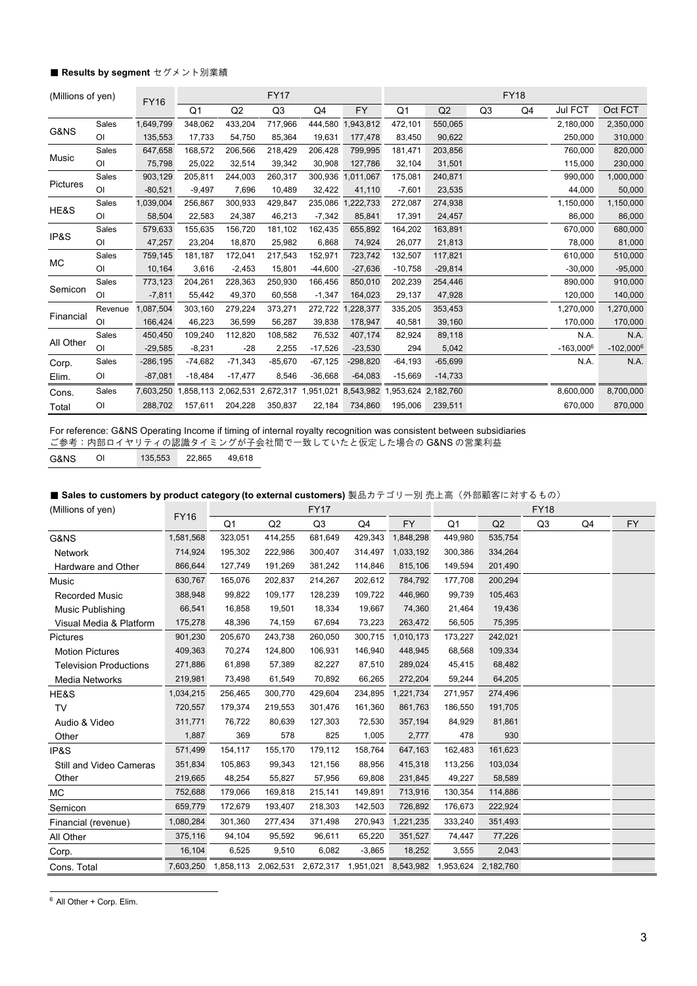#### ■ Results by segment セグメント別業績

| (Millions of yen) |                | <b>FY16</b> |                |           | <b>FY17</b>                                       |           |            |                |                     |                | <b>FY18</b>    |              |              |
|-------------------|----------------|-------------|----------------|-----------|---------------------------------------------------|-----------|------------|----------------|---------------------|----------------|----------------|--------------|--------------|
|                   |                |             | Q <sub>1</sub> | Q2        | Q <sub>3</sub>                                    | Q4        | <b>FY</b>  | Q <sub>1</sub> | Q2                  | Q <sub>3</sub> | Q <sub>4</sub> | Jul FCT      | Oct FCT      |
|                   | Sales          | 1,649,799   | 348,062        | 433,204   | 717,966                                           | 444,580   | 1,943,812  | 472,101        | 550,065             |                |                | 2,180,000    | 2,350,000    |
| G&NS              | $\overline{O}$ | 135,553     | 17,733         | 54,750    | 85,364                                            | 19,631    | 177,478    | 83,450         | 90,622              |                |                | 250,000      | 310,000      |
|                   | Sales          | 647,658     | 168,572        | 206,566   | 218,429                                           | 206,428   | 799,995    | 181,471        | 203,856             |                |                | 760,000      | 820,000      |
| Music             | O <sub>l</sub> | 75,798      | 25,022         | 32,514    | 39,342                                            | 30,908    | 127,786    | 32,104         | 31,501              |                |                | 115,000      | 230,000      |
|                   | Sales          | 903,129     | 205,811        | 244,003   | 260,317                                           | 300,936   | 1,011,067  | 175,081        | 240,871             |                |                | 990,000      | 1,000,000    |
| Pictures          | O <sub>1</sub> | $-80,521$   | $-9,497$       | 7,696     | 10,489                                            | 32,422    | 41,110     | $-7,601$       | 23,535              |                |                | 44,000       | 50,000       |
|                   | Sales          | 1,039,004   | 256,867        | 300,933   | 429,847                                           | 235,086   | 1,222,733  | 272,087        | 274,938             |                |                | 1,150,000    | 1,150,000    |
| HE&S              | $\overline{O}$ | 58,504      | 22,583         | 24,387    | 46,213                                            | $-7,342$  | 85,841     | 17,391         | 24,457              |                |                | 86,000       | 86,000       |
|                   | Sales          | 579,633     | 155,635        | 156,720   | 181,102                                           | 162,435   | 655,892    | 164,202        | 163,891             |                |                | 670,000      | 680,000      |
| IP&S              | O <sub>l</sub> | 47,257      | 23,204         | 18,870    | 25,982                                            | 6,868     | 74,924     | 26,077         | 21,813              |                |                | 78,000       | 81,000       |
|                   | Sales          | 759,145     | 181,187        | 172,041   | 217,543                                           | 152,971   | 723,742    | 132,507        | 117,821             |                |                | 610,000      | 510,000      |
| МC                | O <sub>l</sub> | 10,164      | 3,616          | $-2,453$  | 15,801                                            | $-44,600$ | $-27,636$  | $-10,758$      | $-29,814$           |                |                | $-30,000$    | $-95,000$    |
|                   | Sales          | 773,123     | 204,261        | 228,363   | 250,930                                           | 166,456   | 850,010    | 202,239        | 254,446             |                |                | 890,000      | 910,000      |
| Semicon           | O <sub>1</sub> | $-7,811$    | 55,442         | 49,370    | 60,558                                            | $-1,347$  | 164,023    | 29,137         | 47,928              |                |                | 120,000      | 140,000      |
|                   | Revenue        | ,087,504    | 303,160        | 279,224   | 373,271                                           | 272,722   | ,228,377   | 335,205        | 353,453             |                |                | 1,270,000    | 1,270,000    |
| Financial         | O <sub>1</sub> | 166,424     | 46,223         | 36,599    | 56,287                                            | 39,838    | 178,947    | 40,581         | 39,160              |                |                | 170,000      | 170,000      |
|                   | Sales          | 450,450     | 109,240        | 112,820   | 108,582                                           | 76,532    | 407,174    | 82,924         | 89,118              |                |                | N.A.         | N.A.         |
| All Other         | O <sub>1</sub> | $-29,585$   | $-8,231$       | $-28$     | 2,255                                             | $-17,526$ | $-23,530$  | 294            | 5,042               |                |                | $-163,000^6$ | $-102,000^6$ |
| Corp.             | Sales          | $-286, 195$ | $-74,682$      | $-71,343$ | $-85,670$                                         | $-67,125$ | $-298,820$ | $-64,193$      | $-65,699$           |                |                | N.A.         | N.A.         |
| Elim.             | O <sub>1</sub> | $-87,081$   | $-18,484$      | $-17,477$ | 8,546                                             | $-36,668$ | $-64,083$  | $-15,669$      | $-14,733$           |                |                |              |              |
| Cons.             | Sales          | 7,603,250   |                |           | 1,858,113 2,062,531 2,672,317 1,951,021 8,543,982 |           |            |                | 1,953,624 2,182,760 |                |                | 8,600,000    | 8,700,000    |
| Total             | O <sub>1</sub> | 288,702     | 157,611        | 204,228   | 350,837                                           | 22,184    | 734,860    | 195,006        | 239,511             |                |                | 670,000      | 870,000      |

For reference: G&NS Operating Income if timing of internal royalty recognition was consistent between subsidiaries ご参考:内部ロイヤリティの認識タイミングが子会社間で一致していたと仮定した場合の G&NS の営業利益

G&NS OI 135,553 22,865 49,618

■ Sales to customers by product category (to external customers) 製品カテゴリー別 売上高(外部顧客に対するもの)

| (Millions of yen)             |             |                                                                                 |         | <b>FY17</b>    |          |           |         |         | <b>FY18</b> |    |           |
|-------------------------------|-------------|---------------------------------------------------------------------------------|---------|----------------|----------|-----------|---------|---------|-------------|----|-----------|
|                               | <b>FY16</b> | Q1                                                                              | Q2      | Q <sub>3</sub> | Q4       | <b>FY</b> | Q1      | Q2      | Q3          | Q4 | <b>FY</b> |
| G&NS                          | 1,581,568   | 323,051                                                                         | 414,255 | 681,649        | 429,343  | 1,848,298 | 449,980 | 535,754 |             |    |           |
| <b>Network</b>                | 714,924     | 195,302                                                                         | 222,986 | 300,407        | 314,497  | 1,033,192 | 300,386 | 334,264 |             |    |           |
| Hardware and Other            | 866,644     | 127,749                                                                         | 191,269 | 381,242        | 114,846  | 815,106   | 149,594 | 201,490 |             |    |           |
| Music                         | 630,767     | 165,076                                                                         | 202,837 | 214,267        | 202,612  | 784,792   | 177,708 | 200,294 |             |    |           |
| <b>Recorded Music</b>         | 388,948     | 99,822                                                                          | 109,177 | 128,239        | 109,722  | 446,960   | 99,739  | 105,463 |             |    |           |
| Music Publishing              | 66,541      | 16,858                                                                          | 19,501  | 18,334         | 19,667   | 74,360    | 21,464  | 19,436  |             |    |           |
| Visual Media & Platform       | 175,278     | 48,396                                                                          | 74,159  | 67,694         | 73,223   | 263,472   | 56,505  | 75,395  |             |    |           |
| Pictures                      | 901,230     | 205,670                                                                         | 243,738 | 260,050        | 300,715  | 1,010,173 | 173,227 | 242,021 |             |    |           |
| <b>Motion Pictures</b>        | 409,363     | 70,274                                                                          | 124,800 | 106,931        | 146,940  | 448,945   | 68,568  | 109,334 |             |    |           |
| <b>Television Productions</b> | 271,886     | 61,898                                                                          | 57,389  | 82,227         | 87,510   | 289,024   | 45,415  | 68,482  |             |    |           |
| Media Networks                | 219,981     | 73,498                                                                          | 61,549  | 70,892         | 66,265   | 272,204   | 59,244  | 64,205  |             |    |           |
| HE&S                          | 1,034,215   | 256,465                                                                         | 300,770 | 429,604        | 234,895  | 1,221,734 | 271,957 | 274,496 |             |    |           |
| <b>TV</b>                     | 720,557     | 179,374                                                                         | 219,553 | 301,476        | 161,360  | 861,763   | 186,550 | 191,705 |             |    |           |
| Audio & Video                 | 311,771     | 76,722                                                                          | 80,639  | 127,303        | 72,530   | 357,194   | 84,929  | 81,861  |             |    |           |
| Other                         | 1,887       | 369                                                                             | 578     | 825            | 1,005    | 2,777     | 478     | 930     |             |    |           |
| IP&S                          | 571,499     | 154,117                                                                         | 155,170 | 179,112        | 158,764  | 647,163   | 162,483 | 161,623 |             |    |           |
| Still and Video Cameras       | 351,834     | 105,863                                                                         | 99,343  | 121,156        | 88,956   | 415,318   | 113,256 | 103,034 |             |    |           |
| Other                         | 219,665     | 48,254                                                                          | 55,827  | 57,956         | 69,808   | 231,845   | 49,227  | 58,589  |             |    |           |
| МC                            | 752,688     | 179,066                                                                         | 169,818 | 215,141        | 149,891  | 713,916   | 130,354 | 114,886 |             |    |           |
| Semicon                       | 659,779     | 172,679                                                                         | 193,407 | 218,303        | 142,503  | 726,892   | 176,673 | 222,924 |             |    |           |
| Financial (revenue)           | 1,080,284   | 301,360                                                                         | 277,434 | 371,498        | 270,943  | 1,221,235 | 333,240 | 351,493 |             |    |           |
| All Other                     | 375,116     | 94,104                                                                          | 95,592  | 96,611         | 65,220   | 351,527   | 74,447  | 77,226  |             |    |           |
| Corp.                         | 16,104      | 6,525                                                                           | 9,510   | 6,082          | $-3,865$ | 18,252    | 3,555   | 2,043   |             |    |           |
| Cons. Total                   |             | 7,603,250 1,858,113 2,062,531 2,672,317 1,951,021 8,543,982 1,953,624 2,182,760 |         |                |          |           |         |         |             |    |           |

 $6$  All Other + Corp. Elim.

l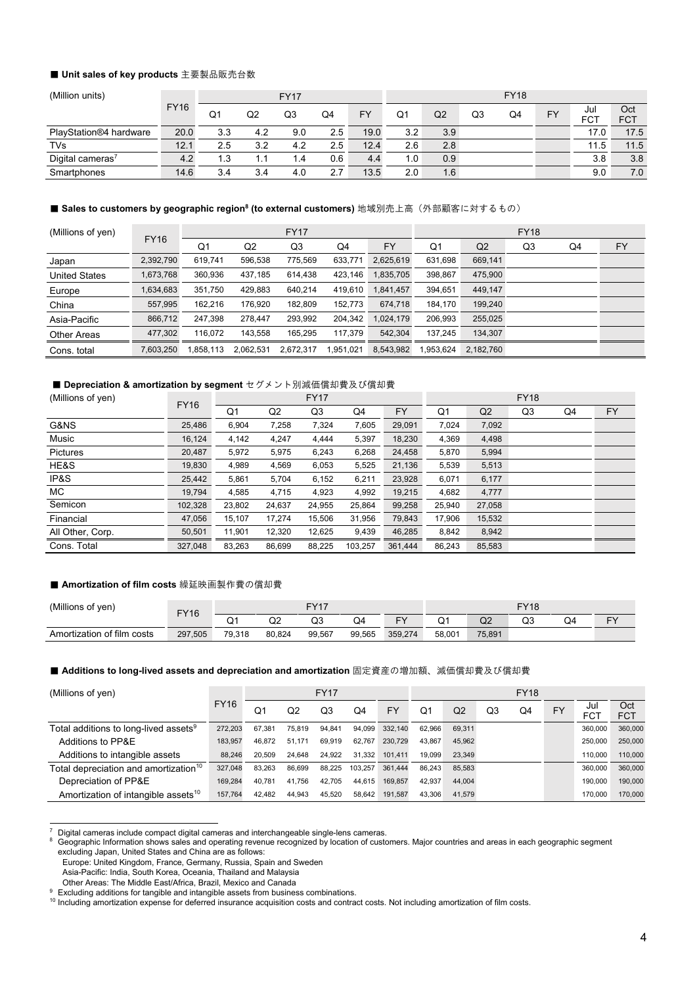#### **■ Unit sales of key products** 主要製品販売台数

| (Million units)              |             | <b>FY17</b> |     |               |     |           |     | <b>FY18</b> |    |    |    |            |                   |  |
|------------------------------|-------------|-------------|-----|---------------|-----|-----------|-----|-------------|----|----|----|------------|-------------------|--|
|                              | <b>FY16</b> | Q1          | Q2  | Q3            | Q4  | <b>FY</b> | Q1  | Q2          | Q3 | Q4 | FY | Jul<br>FCT | Oct<br><b>FCT</b> |  |
| PlayStation®4 hardware       | 20.0        | 3.3         | 4.2 | 9.0           | 2.5 | 19.0      | 3.2 | 3.9         |    |    |    | 17.0       | 17.5              |  |
| TVs                          | 12.1        | 2.5         | 3.2 | 4.2           | 2.5 | 12.4      | 2.6 | 2.8         |    |    |    | 11.5       | 11.5              |  |
| Digital cameras <sup>7</sup> | 4.2         | 1.3         | 1.1 | $\mathcal{A}$ | 0.6 | 4.4       | 1.0 | 0.9         |    |    |    | 3.8        | 3.8               |  |
| Smartphones                  | 14.6        | 3.4         | 3.4 | 4.0           | 2.7 | 13.5      | 2.0 | 1.6         |    |    |    | 9.0        | 7.0               |  |

#### **■ Sales to customers by geographic region<sup>8</sup> (to external customers) 地域別売上高(外部顧客に対するもの)**

| (Millions of yen)    |             |          |                | <b>FY17</b> |           | <b>FY18</b> |           |           |    |    |    |  |
|----------------------|-------------|----------|----------------|-------------|-----------|-------------|-----------|-----------|----|----|----|--|
|                      | <b>FY16</b> | Q1       | Q <sub>2</sub> | Q3          | Q4        | FY          | Q1        | Q2        | Q3 | Q4 | FY |  |
| Japan                | 2,392,790   | 619.741  | 596,538        | 775,569     | 633.771   | 2.625.619   | 631,698   | 669,141   |    |    |    |  |
| <b>United States</b> | 1,673,768   | 360,936  | 437,185        | 614,438     | 423,146   | 1,835,705   | 398,867   | 475,900   |    |    |    |  |
| Europe               | 1,634,683   | 351,750  | 429,883        | 640,214     | 419,610   | 1,841,457   | 394,651   | 449,147   |    |    |    |  |
| China                | 557,995     | 162,216  | 176,920        | 182,809     | 152,773   | 674,718     | 184,170   | 199,240   |    |    |    |  |
| Asia-Pacific         | 866,712     | 247,398  | 278,447        | 293,992     | 204,342   | 1,024,179   | 206,993   | 255,025   |    |    |    |  |
| <b>Other Areas</b>   | 477,302     | 116.072  | 143,558        | 165,295     | 117,379   | 542.304     | 137.245   | 134,307   |    |    |    |  |
| Cons. total          | 7,603,250   | ,858,113 | 2,062,531      | 2,672,317   | 1,951,021 | 8,543,982   | 1,953,624 | 2,182,760 |    |    |    |  |

#### ■ Depreciation & amortization by segment セグメント別減価償却費及び償却費

| (Millions of yen) | <b>FY16</b> |        |                | <b>FY17</b> |         |         |                |        | <b>FY18</b> |    |    |
|-------------------|-------------|--------|----------------|-------------|---------|---------|----------------|--------|-------------|----|----|
|                   |             | Q1     | Q <sub>2</sub> | Q3          | Q4      | FY      | Q <sub>1</sub> | Q2     | Q3          | Q4 | FY |
| G&NS              | 25,486      | 6,904  | 7,258          | 7,324       | 7,605   | 29,091  | 7,024          | 7,092  |             |    |    |
| Music             | 16,124      | 4,142  | 4.247          | 4.444       | 5,397   | 18,230  | 4,369          | 4,498  |             |    |    |
| <b>Pictures</b>   | 20,487      | 5,972  | 5,975          | 6,243       | 6,268   | 24,458  | 5,870          | 5,994  |             |    |    |
| HE&S              | 19,830      | 4,989  | 4,569          | 6,053       | 5,525   | 21,136  | 5,539          | 5,513  |             |    |    |
| IP&S              | 25,442      | 5,861  | 5,704          | 6,152       | 6,211   | 23,928  | 6,071          | 6,177  |             |    |    |
| MC.               | 19,794      | 4,585  | 4,715          | 4,923       | 4,992   | 19,215  | 4,682          | 4,777  |             |    |    |
| Semicon           | 102,328     | 23,802 | 24,637         | 24,955      | 25,864  | 99,258  | 25,940         | 27,058 |             |    |    |
| Financial         | 47,056      | 15.107 | 17,274         | 15,506      | 31,956  | 79,843  | 17.906         | 15,532 |             |    |    |
| All Other, Corp.  | 50,501      | 11.901 | 12.320         | 12,625      | 9,439   | 46,285  | 8,842          | 8,942  |             |    |    |
| Cons. Total       | 327.048     | 83.263 | 86.699         | 88.225      | 103.257 | 361.444 | 86.243         | 85,583 |             |    |    |

### ■ Amortization of film costs 繰延映画製作費の償却費

| (Millions of ven)             | <b>FY16</b> |        |             | <b>FY17</b> |        |           |        |        | <b>FY18</b> |    |    |
|-------------------------------|-------------|--------|-------------|-------------|--------|-----------|--------|--------|-------------|----|----|
|                               |             | Q۱     | $\sim$<br>◡ | Q3          | Q4     | <b>CV</b> | n٠     | Q2     | QЗ          | Q4 | cv |
| Amortization of film<br>costs | 297,505     | 79,318 | 80,824      | 99,567      | 99,565 | 359,274   | 58,001 | 75,891 |             |    |    |

#### ■ Additions to long-lived assets and depreciation and amortization 固定資産の増加額、減価償却費及び償却費

| (Millions of yen)                               |             |        |        | <b>FY17</b> |         |         | <b>FY18</b> |        |    |    |    |                   |                   |
|-------------------------------------------------|-------------|--------|--------|-------------|---------|---------|-------------|--------|----|----|----|-------------------|-------------------|
|                                                 | <b>FY16</b> | Q1     | Q2     | Q3          | Q4      | FY      | Ο1          | Q2     | Q3 | Q4 | FY | Jul<br><b>FCT</b> | Oct<br><b>FCT</b> |
| Total additions to long-lived assets $^9$       | 272,203     | 67.381 | 75.819 | 94.841      | 94.099  | 332,140 | 62.966      | 69.311 |    |    |    | 360,000           | 360,000           |
| Additions to PP&E                               | 183.957     | 46.872 | 51.171 | 69.919      | 62.767  | 230.729 | 43.867      | 45.962 |    |    |    | 250,000           | 250,000           |
| Additions to intangible assets                  | 88,246      | 20.509 | 24.648 | 24.922      | 31.332  | 101.411 | 19.099      | 23.349 |    |    |    | 110,000           | 110,000           |
| Total depreciation and amortization $^{\rm 10}$ | 327,048     | 83.263 | 86.699 | 88.225      | 103.257 | 361.444 | 86.243      | 85.583 |    |    |    | 360,000           | 360,000           |
| Depreciation of PP&E                            | 169.284     | 40.781 | 41.756 | 42.705      | 44.615  | 169.857 | 42.937      | 44.004 |    |    |    | 190,000           | 190,000           |
| Amortization of intangible assets <sup>10</sup> | 157.764     | 42.482 | 44.943 | 45.520      | 58.642  | 191.587 | 43.306      | 41.579 |    |    |    | 170,000           | 170,000           |

Europe: United Kingdom, France, Germany, Russia, Spain and Sweden

Digital cameras include compact digital cameras and interchangeable single-lens cameras.<br>Geographic Information shows sales and operating revenue recognized by location of customers. Major countries and areas in each geogr excluding Japan, United States and China are as follows:

Asia-Pacific: India, South Korea, Oceania, Thailand and Malaysia

Other Areas: The Middle East/Africa, Brazil, Mexico and Canada<br><sup>9</sup> Excluding additions for tangible and intangible assets from business combinations.<br><sup>10</sup> Including amortization expense for deferred insurance acquisition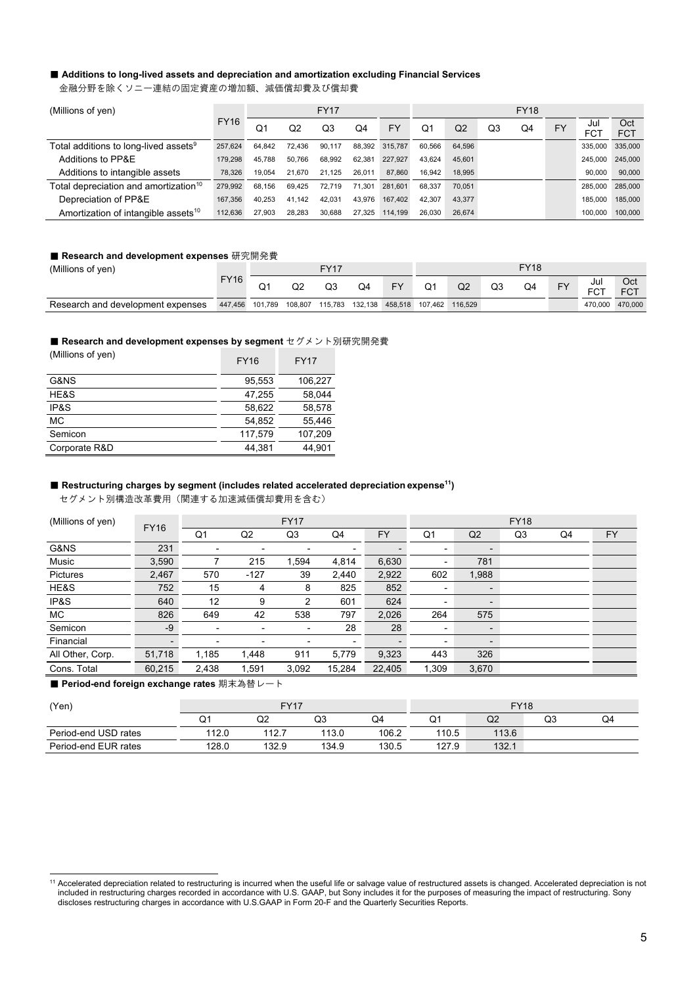# ■ Additions to long-lived assets and depreciation and amortization excluding Financial Services

金融分野を除くソニー連結の固定資産の増加額、減価償却費及び償却費

| (Millions of yen)                               |             |        |        | <b>FY17</b> |        |                | <b>FY18</b>    |                |    |    |           |                   |                   |
|-------------------------------------------------|-------------|--------|--------|-------------|--------|----------------|----------------|----------------|----|----|-----------|-------------------|-------------------|
|                                                 | <b>FY16</b> | O۱     | Q2     | Q3          | O4     | FY             | O <sub>1</sub> | Q <sub>2</sub> | Q3 | Q4 | <b>FY</b> | Jul<br><b>FCT</b> | Oct<br><b>FCT</b> |
| Total additions to long-lived assets $^9$       | 257,624     | 64.842 | 72.436 | 90.117      |        | 88.392 315.787 | 60.566         | 64.596         |    |    |           | 335,000           | 335,000           |
| Additions to PP&E                               | 179,298     | 45.788 | 50.766 | 68.992      | 62.381 | 227,927        | 43.624         | 45.601         |    |    |           | 245.000           | 245,000           |
| Additions to intangible assets                  | 78,326      | 19.054 | 21.670 | 21.125      | 26.011 | 87,860         | 16.942         | 18.995         |    |    |           | 90.000            | 90,000            |
| Total depreciation and amortization $^{\rm 10}$ | 279.992     | 68.156 | 69.425 | 72.719      | 71.301 | 281.601        | 68.337         | 70.051         |    |    |           | 285.000           | 285,000           |
| Depreciation of PP&E                            | 167,356     | 40.253 | 41.142 | 42.031      | 43.976 | 167.402        | 42.307         | 43.377         |    |    |           | 185.000           | 185,000           |
| Amortization of intangible assets <sup>10</sup> | 112,636     | 27.903 | 28.283 | 30.688      | 27.325 | 114,199        | 26.030         | 26.674         |    |    |           | 100.000           | 100,000           |

#### ■ Research and development expenses 研究開発費

| (Millions of yen)                 |             | <b>FY17</b> |         |         |    |           | <b>FY18</b> |                                 |    |    |           |                   |                   |
|-----------------------------------|-------------|-------------|---------|---------|----|-----------|-------------|---------------------------------|----|----|-----------|-------------------|-------------------|
|                                   | <b>FY16</b> |             | Q2      | QЗ      | Q4 | <b>FY</b> | Q1          | Q <sub>2</sub>                  | Q3 | Q4 | <b>FY</b> | Jul<br><b>FCT</b> | Oct<br><b>FCT</b> |
| Research and development expenses | 447,456     | 101,789     | 108,807 | 115,783 |    |           |             | 132,138 458,518 107,462 116,529 |    |    |           | 470,000 470,000   |                   |

# ■ Research and development expenses by segment セグメント別研究開発費

| (Millions of yen) | <b>FY16</b> | <b>FY17</b> |
|-------------------|-------------|-------------|
| G&NS              | 95.553      | 106.227     |
| HE&S              | 47.255      | 58.044      |
| IP&S              | 58.622      | 58.578      |
| <b>MC</b>         | 54,852      | 55,446      |
| Semicon           | 117.579     | 107.209     |
| Corporate R&D     | 44.381      | 44.901      |

#### ■ Restructuring charges by segment (includes related accelerated depreciation expense<sup>11</sup>)

セグメント別構造改革費用(関連する加速減価償却費用を含む)

| (Millions of yen) | <b>FY16</b> |                          |                          | <b>FY17</b>              |                          |           | <b>FY18</b>              |                          |    |    |           |  |
|-------------------|-------------|--------------------------|--------------------------|--------------------------|--------------------------|-----------|--------------------------|--------------------------|----|----|-----------|--|
|                   |             | Q1                       | Q2                       | Q3                       | Q4                       | <b>FY</b> | Q1                       | Q2                       | Q3 | Q4 | <b>FY</b> |  |
| G&NS              | 231         |                          | $\overline{\phantom{a}}$ | $\overline{\phantom{0}}$ |                          |           | $\overline{a}$           | $\overline{\phantom{a}}$ |    |    |           |  |
| Music             | 3,590       |                          | 215                      | 1,594                    | 4,814                    | 6,630     | $\overline{\phantom{a}}$ | 781                      |    |    |           |  |
| Pictures          | 2,467       | 570                      | $-127$                   | 39                       | 2.440                    | 2,922     | 602                      | 1,988                    |    |    |           |  |
| HE&S              | 752         | 15                       | 4                        | 8                        | 825                      | 852       | $\overline{\phantom{a}}$ | $\overline{\phantom{a}}$ |    |    |           |  |
| IP&S              | 640         | 12                       | 9                        | 2                        | 601                      | 624       | $\overline{\phantom{a}}$ | $\blacksquare$           |    |    |           |  |
| МC                | 826         | 649                      | 42                       | 538                      | 797                      | 2,026     | 264                      | 575                      |    |    |           |  |
| Semicon           | $-9$        | -                        | $\overline{\phantom{0}}$ | ٠                        | 28                       | 28        | $\overline{\phantom{a}}$ | $\blacksquare$           |    |    |           |  |
| Financial         |             | $\overline{\phantom{0}}$ | $\overline{\phantom{0}}$ | ٠                        | $\overline{\phantom{0}}$ |           | $\overline{\phantom{0}}$ | $\blacksquare$           |    |    |           |  |
| All Other, Corp.  | 51,718      | 1,185                    | 1,448                    | 911                      | 5,779                    | 9,323     | 443                      | 326                      |    |    |           |  |
| Cons. Total       | 60,215      | 2,438                    | 1,591                    | 3,092                    | 15,284                   | 22,405    | 1,309                    | 3,670                    |    |    |           |  |

#### ■ Period-end foreign exchange rates 期末為替レート

| (Yen)                |       | <b>FY17</b> |       |       | <b>FY18</b> |       |    |    |  |  |  |
|----------------------|-------|-------------|-------|-------|-------------|-------|----|----|--|--|--|
|                      | Q1    | Q2          | Q3    | Q4    | Q1          | Q2    | Q3 | Q4 |  |  |  |
| Period-end USD rates | 112.0 | 112.7       | 113.0 | 106.2 | 110.5       | 113.6 |    |    |  |  |  |
| Period-end EUR rates | 128.0 | 132.9       | 134.9 | 130.5 | 127.9       | 132.1 |    |    |  |  |  |

<sup>&</sup>lt;sup>11</sup> Accelerated depreciation related to restructuring is incurred when the useful life or salvage value of restructured assets is changed. Accelerated depreciation is not included in restructuring charges recorded in accordance with U.S. GAAP, but Sony includes it for the purposes of measuring the impact of restructuring. Sony discloses restructuring charges in accordance with U.S.GAAP in Form 20-F and the Quarterly Securities Reports.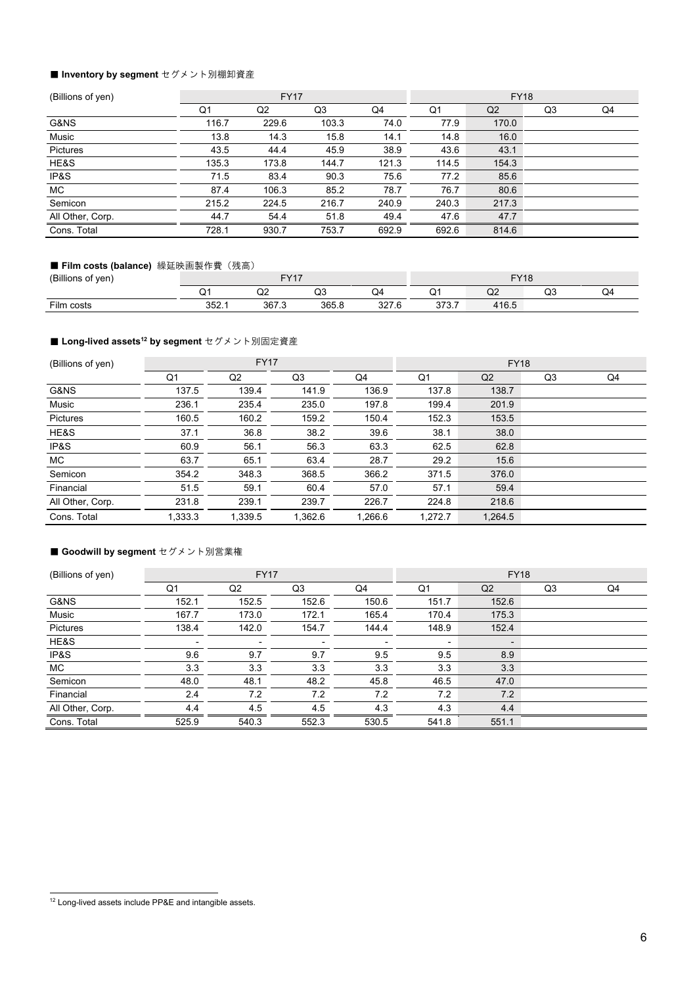## ■ Inventory by segment **セグメント別棚卸資**産

| (Billions of yen) |       | <b>FY17</b> |       |       | <b>FY18</b> |                |    |    |  |  |
|-------------------|-------|-------------|-------|-------|-------------|----------------|----|----|--|--|
|                   | Q1    | Q2          | Q3    | Q4    | Q1          | Q <sub>2</sub> | Q3 | Q4 |  |  |
| G&NS              | 116.7 | 229.6       | 103.3 | 74.0  | 77.9        | 170.0          |    |    |  |  |
| Music             | 13.8  | 14.3        | 15.8  | 14.1  | 14.8        | 16.0           |    |    |  |  |
| Pictures          | 43.5  | 44.4        | 45.9  | 38.9  | 43.6        | 43.1           |    |    |  |  |
| HE&S              | 135.3 | 173.8       | 144.7 | 121.3 | 114.5       | 154.3          |    |    |  |  |
| IP&S              | 71.5  | 83.4        | 90.3  | 75.6  | 77.2        | 85.6           |    |    |  |  |
| MC.               | 87.4  | 106.3       | 85.2  | 78.7  | 76.7        | 80.6           |    |    |  |  |
| Semicon           | 215.2 | 224.5       | 216.7 | 240.9 | 240.3       | 217.3          |    |    |  |  |
| All Other, Corp.  | 44.7  | 54.4        | 51.8  | 49.4  | 47.6        | 47.7           |    |    |  |  |
| Cons. Total       | 728.1 | 930.7       | 753.7 | 692.9 | 692.6       | 814.6          |    |    |  |  |

# ■ Film costs (balance) 繰延映画製作費 (残高)

| 'Billions<br>; of yen) |               | EVA7           |              |                    | $\Gamma$ 140    |             |                 |  |  |  |
|------------------------|---------------|----------------|--------------|--------------------|-----------------|-------------|-----------------|--|--|--|
|                        | یب            | ◡              | $\sim$<br>Q3 | 0⊿                 | ∽               | $\sim$<br>◡ | <b>^^</b><br>שע |  |  |  |
| Film costs             | 252<br>ו . בט | 267 2<br>ט וטט | 365.8        | 227c<br>، ∠د<br>.u | 272.7<br>JI J.I | 116.5       |                 |  |  |  |

# ■ Long-lived assets<sup>12</sup> by segment セグメント別固定資産

| (Billions of yen) |                | <b>FY17</b> |         |         |         | <b>FY18</b> |    |    |
|-------------------|----------------|-------------|---------|---------|---------|-------------|----|----|
|                   | Q <sub>1</sub> | Q2          | Q3      | Q4      | Q1      | Q2          | Q3 | Q4 |
| G&NS              | 137.5          | 139.4       | 141.9   | 136.9   | 137.8   | 138.7       |    |    |
| Music             | 236.1          | 235.4       | 235.0   | 197.8   | 199.4   | 201.9       |    |    |
| <b>Pictures</b>   | 160.5          | 160.2       | 159.2   | 150.4   | 152.3   | 153.5       |    |    |
| HE&S              | 37.1           | 36.8        | 38.2    | 39.6    | 38.1    | 38.0        |    |    |
| IP&S              | 60.9           | 56.1        | 56.3    | 63.3    | 62.5    | 62.8        |    |    |
| MC.               | 63.7           | 65.1        | 63.4    | 28.7    | 29.2    | 15.6        |    |    |
| Semicon           | 354.2          | 348.3       | 368.5   | 366.2   | 371.5   | 376.0       |    |    |
| Financial         | 51.5           | 59.1        | 60.4    | 57.0    | 57.1    | 59.4        |    |    |
| All Other, Corp.  | 231.8          | 239.1       | 239.7   | 226.7   | 224.8   | 218.6       |    |    |
| Cons. Total       | 1,333.3        | 1,339.5     | 1,362.6 | 1,266.6 | 1,272.7 | 1,264.5     |    |    |

## ■ Goodwill by segment **セグメント別営業権**

| (Billions of yen) |                          | <b>FY17</b>              |                          |       |                          | <b>FY18</b>              |    |    |
|-------------------|--------------------------|--------------------------|--------------------------|-------|--------------------------|--------------------------|----|----|
|                   | Q <sub>1</sub>           | Q2                       | Q3                       | Q4    | Q <sub>1</sub>           | Q2                       | Q3 | Q4 |
| G&NS              | 152.1                    | 152.5                    | 152.6                    | 150.6 | 151.7                    | 152.6                    |    |    |
| Music             | 167.7                    | 173.0                    | 172.1                    | 165.4 | 170.4                    | 175.3                    |    |    |
| <b>Pictures</b>   | 138.4                    | 142.0                    | 154.7                    | 144.4 | 148.9                    | 152.4                    |    |    |
| HE&S              | $\overline{\phantom{a}}$ | $\overline{\phantom{a}}$ | $\overline{\phantom{a}}$ | ۰     | $\overline{\phantom{a}}$ | $\overline{\phantom{a}}$ |    |    |
| IP&S              | 9.6                      | 9.7                      | 9.7                      | 9.5   | 9.5                      | 8.9                      |    |    |
| <b>MC</b>         | 3.3                      | 3.3                      | 3.3                      | 3.3   | 3.3                      | 3.3                      |    |    |
| Semicon           | 48.0                     | 48.1                     | 48.2                     | 45.8  | 46.5                     | 47.0                     |    |    |
| Financial         | 2.4                      | 7.2                      | 7.2                      | 7.2   | 7.2                      | 7.2                      |    |    |
| All Other, Corp.  | 4.4                      | 4.5                      | 4.5                      | 4.3   | 4.3                      | 4.4                      |    |    |
| Cons. Total       | 525.9                    | 540.3                    | 552.3                    | 530.5 | 541.8                    | 551.1                    |    |    |

<sup>&</sup>lt;sup>12</sup> Long-lived assets include PP&E and intangible assets.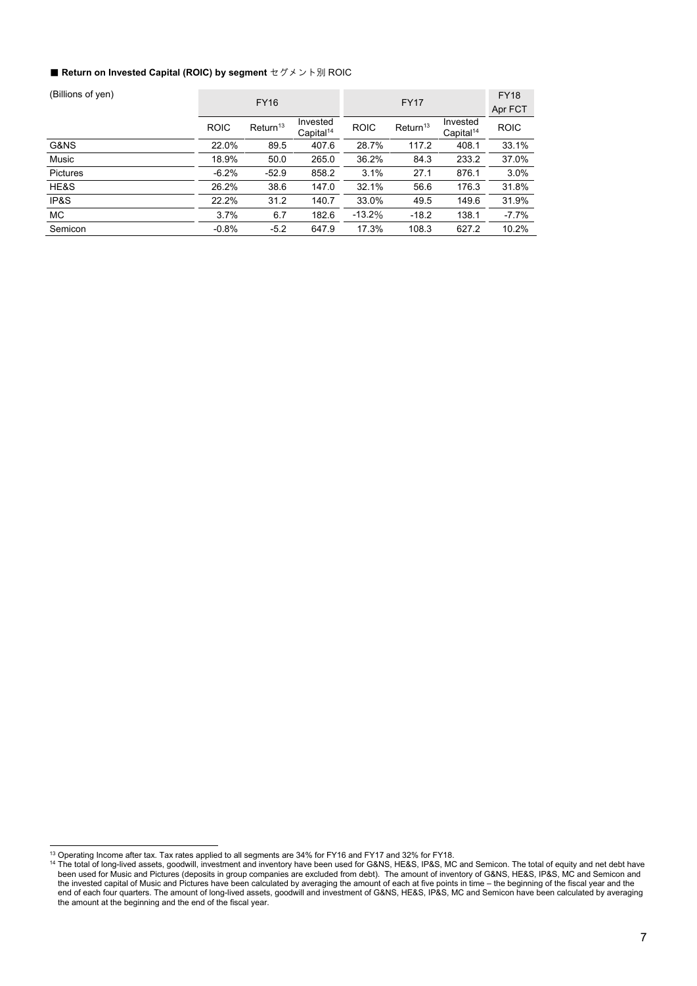#### ■ Return on Invested Capital (ROIC) by segment セグメント別 ROIC

| (Billions of yen) |             | <b>FY16</b>             |                                   |             | <b>FY17</b>          |                                   | <b>FY18</b><br>Apr FCT |
|-------------------|-------------|-------------------------|-----------------------------------|-------------|----------------------|-----------------------------------|------------------------|
|                   | <b>ROIC</b> | $R$ eturn <sup>13</sup> | Invested<br>Capital <sup>14</sup> | <b>ROIC</b> | Return <sup>13</sup> | Invested<br>Capital <sup>14</sup> | <b>ROIC</b>            |
| G&NS              | 22.0%       | 89.5                    | 407.6                             | 28.7%       | 117.2                | 408.1                             | 33.1%                  |
| Music             | 18.9%       | 50.0                    | 265.0                             | 36.2%       | 84.3                 | 233.2                             | 37.0%                  |
| <b>Pictures</b>   | $-6.2%$     | $-52.9$                 | 858.2                             | 3.1%        | 27.1                 | 876.1                             | 3.0%                   |
| HE&S              | 26.2%       | 38.6                    | 147.0                             | 32.1%       | 56.6                 | 176.3                             | 31.8%                  |
| IP&S              | 22.2%       | 31.2                    | 140.7                             | 33.0%       | 49.5                 | 149.6                             | 31.9%                  |
| МC                | 3.7%        | 6.7                     | 182.6                             | $-13.2%$    | $-18.2$              | 138.1                             | $-7.7\%$               |
| Semicon           | $-0.8%$     | $-5.2$                  | 647.9                             | 17.3%       | 108.3                | 627.2                             | 10.2%                  |

<sup>&</sup>lt;sup>13</sup> Operating Income after tax. Tax rates applied to all segments are 34% for FY16 and FY17 and 32% for FY18.

<sup>&</sup>lt;sup>14</sup> The total of long-lived assets, goodwill, investment and inventory have been used for G&NS, HE&S, IP&S, MC and Semicon. The total of equity and net debt have been used for Music and Pictures (deposits in group companies are excluded from debt). The amount of inventory of G&NS, HE&S, IP&S, MC and Semicon and the invested capital of Music and Pictures have been calculated by averaging the amount of each at five points in time – the beginning of the fiscal year and the end of each four quarters. The amount of long-lived assets, goodwill and investment of G&NS, HE&S, IP&S, MC and Semicon have been calculated by averaging the amount at the beginning and the end of the fiscal year.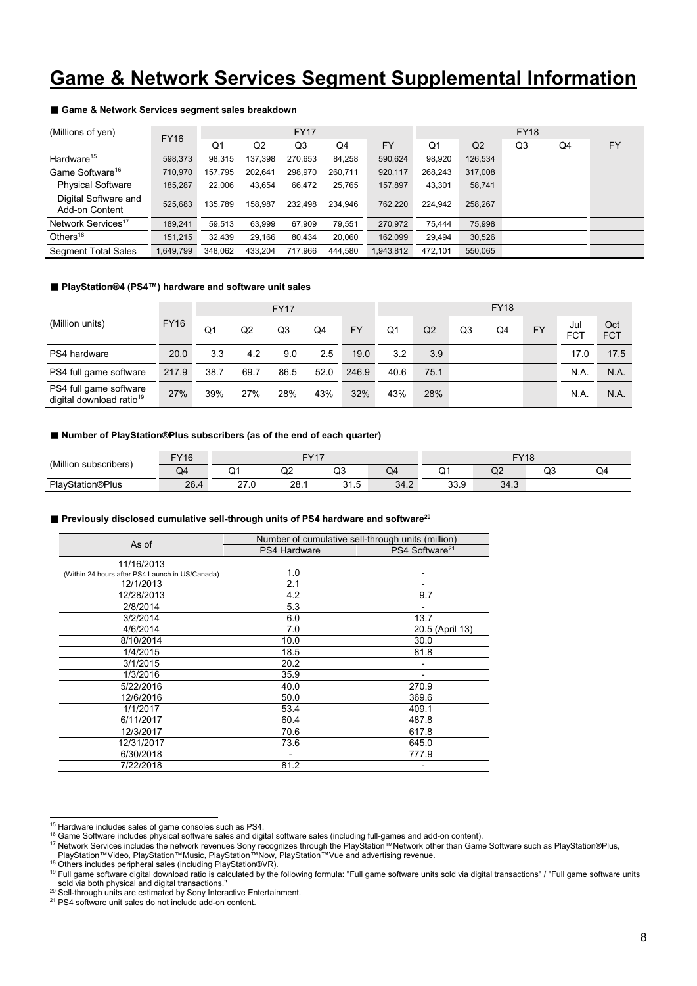# **Game & Network Services Segment Supplemental Information**

#### ■ Game & Network Services segment sales breakdown

| (Millions of yen)                      | <b>FY16</b> |         |                | <b>FY17</b> |         |           | <b>FY18</b> |                |    |    |           |  |  |
|----------------------------------------|-------------|---------|----------------|-------------|---------|-----------|-------------|----------------|----|----|-----------|--|--|
|                                        |             | Q1      | Q <sub>2</sub> | Q3          | Q4      | <b>FY</b> | Q1          | Q <sub>2</sub> | Q3 | Q4 | <b>FY</b> |  |  |
| Hardware <sup>15</sup>                 | 598,373     | 98.315  | 137.398        | 270.653     | 84,258  | 590,624   | 98,920      | 126,534        |    |    |           |  |  |
| Game Software <sup>16</sup>            | 710.970     | 157.795 | 202.641        | 298.970     | 260.711 | 920,117   | 268,243     | 317,008        |    |    |           |  |  |
| <b>Physical Software</b>               | 185,287     | 22,006  | 43,654         | 66,472      | 25,765  | 157,897   | 43,301      | 58,741         |    |    |           |  |  |
| Digital Software and<br>Add-on Content | 525.683     | 135.789 | 158.987        | 232.498     | 234.946 | 762,220   | 224.942     | 258.267        |    |    |           |  |  |
| Network Services <sup>17</sup>         | 189,241     | 59.513  | 63,999         | 67.909      | 79,551  | 270,972   | 75.444      | 75,998         |    |    |           |  |  |
| Others <sup>18</sup>                   | 151.215     | 32.439  | 29,166         | 80,434      | 20,060  | 162,099   | 29,494      | 30,526         |    |    |           |  |  |
| <b>Segment Total Sales</b>             | 1.649.799   | 348.062 | 433.204        | 717.966     | 444.580 | 1,943,812 | 472.101     | 550.065        |    |    |           |  |  |

### ■ **PlayStation®4 (PS4™) hardware and software unit sales**

|                                                                |             |                | <b>FY17</b>    |      |      |           |      | <b>FY18</b> |    |    |           |                   |                   |  |
|----------------------------------------------------------------|-------------|----------------|----------------|------|------|-----------|------|-------------|----|----|-----------|-------------------|-------------------|--|
| (Million units)                                                | <b>FY16</b> | Q <sub>1</sub> | Q <sub>2</sub> | Q3   | Q4   | <b>FY</b> | Q1   | Q2          | Q3 | Q4 | <b>FY</b> | Jul<br><b>FCT</b> | Oct<br><b>FCT</b> |  |
| PS4 hardware                                                   | 20.0        | 3.3            | 4.2            | 9.0  | 2.5  | 19.0      | 3.2  | 3.9         |    |    |           | 17.0              | 17.5              |  |
| PS4 full game software                                         | 217.9       | 38.7           | 69.7           | 86.5 | 52.0 | 246.9     | 40.6 | 75.1        |    |    |           | N.A.              | N.A.              |  |
| PS4 full game software<br>digital download ratio <sup>19</sup> | 27%         | 39%            | 27%            | 28%  | 43%  | 32%       | 43%  | 28%         |    |    |           | N.A.              | N.A.              |  |

#### ■ Number of PlayStation®Plus subscribers (as of the end of each quarter)

| 'Million<br>subscribers | EVAC<br>16   |               | $\Gamma$ 1/47 |              |      | $\Gamma$ 140<br>10 |         |           |    |  |  |
|-------------------------|--------------|---------------|---------------|--------------|------|--------------------|---------|-----------|----|--|--|
|                         | $\sim$<br>Q4 |               | $\sim$<br>◡   | ∩ว<br>ریار   | Q4   | ∽                  | ⌒⌒<br>◡ | ∩ς<br>سرت | Q4 |  |  |
| <b>PlayStation®Plus</b> | 26.4         | $\sim$<br>. . | 28.1          | 24<br>ن. ا ر | 34.2 | २२ ०<br>ບບ.ບ       | 34.3    |           |    |  |  |

#### ■ Previously disclosed cumulative sell-through units of PS4 hardware and software<sup>20</sup>

|                                                 |                     | Number of cumulative sell-through units (million) |
|-------------------------------------------------|---------------------|---------------------------------------------------|
| As of                                           | <b>PS4 Hardware</b> | PS4 Software <sup>21</sup>                        |
| 11/16/2013                                      |                     |                                                   |
| (Within 24 hours after PS4 Launch in US/Canada) | 1.0                 |                                                   |
| 12/1/2013                                       | 2.1                 |                                                   |
| 12/28/2013                                      | 4.2                 | 9.7                                               |
| 2/8/2014                                        | 5.3                 |                                                   |
| 3/2/2014                                        | 6.0                 | 13.7                                              |
| 4/6/2014                                        | 7.0                 | 20.5 (April 13)                                   |
| 8/10/2014                                       | 10.0                | 30.0                                              |
| 1/4/2015                                        | 18.5                | 81.8                                              |
| 3/1/2015                                        | 20.2                |                                                   |
| 1/3/2016                                        | 35.9                |                                                   |
| 5/22/2016                                       | 40.0                | 270.9                                             |
| 12/6/2016                                       | 50.0                | 369.6                                             |
| 1/1/2017                                        | 53.4                | 409.1                                             |
| 6/11/2017                                       | 60.4                | 487.8                                             |
| 12/3/2017                                       | 70.6                | 617.8                                             |
| 12/31/2017                                      | 73.6                | 645.0                                             |
| 6/30/2018                                       | -                   | 777.9                                             |
| 7/22/2018                                       | 81.2                |                                                   |

<sup>&</sup>lt;sup>15</sup> Hardware includes sales of game consoles such as PS4.

Incurvent incurved states physical software sales and digital software sales (including full-games and add-on content).<br><sup>16</sup> Game Software includes the network revenues Sony recognizes through the PlayStation™Network othe

the Christian Christian Christian Christian Christian Christian Christian Christian Christian Christian Christian<br><sup>19</sup> Full game software digital download ratio is calculated by the following formula: "Full game software u sold via both physical and digital transactions."<br>
<sup>20</sup> Sell-through units are estimated by Sony Interactive Entertainment.<br>
<sup>21</sup> PS4 software unit sales do not include add-on content.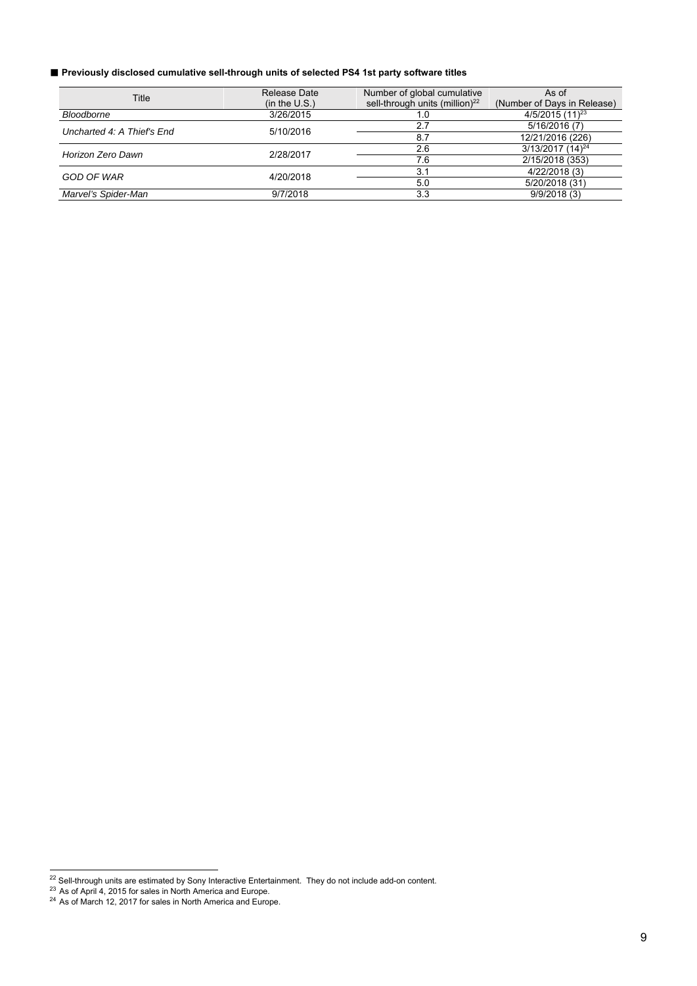## ■ Previously disclosed cumulative sell-through units of selected PS4 1st party software titles

| Title                      | Release Date  | Number of global cumulative                | As of                          |  |  |
|----------------------------|---------------|--------------------------------------------|--------------------------------|--|--|
|                            | (in the U.S.) | sell-through units (million) <sup>22</sup> | (Number of Days in Release)    |  |  |
| <b>Bloodborne</b>          | 3/26/2015     | 1.0                                        | $4/5/2015(11)^{23}$            |  |  |
| Uncharted 4: A Thief's End | 5/10/2016     | 2.7                                        | 5/16/2016 (7)                  |  |  |
|                            |               | 8.7                                        | 12/21/2016 (226)               |  |  |
| Horizon Zero Dawn          | 2/28/2017     | 2.6                                        | $3/13/2017$ (14) <sup>24</sup> |  |  |
|                            |               | 7.6                                        | 2/15/2018 (353)                |  |  |
| GOD OF WAR                 | 4/20/2018     | 3.1                                        | 4/22/2018 (3)                  |  |  |
|                            |               | 5.0                                        | 5/20/2018 (31)                 |  |  |
| Marvel's Spider-Man        | 9/7/2018      | 3.3                                        | 9/9/2018(3)                    |  |  |

l

 $^{22}$  Sell-through units are estimated by Sony Interactive Entertainment. They do not include add-on content.

 $^{23}$  As of April 4, 2015 for sales in North America and Europe.

 $^{24}$  As of March 12, 2017 for sales in North America and Europe.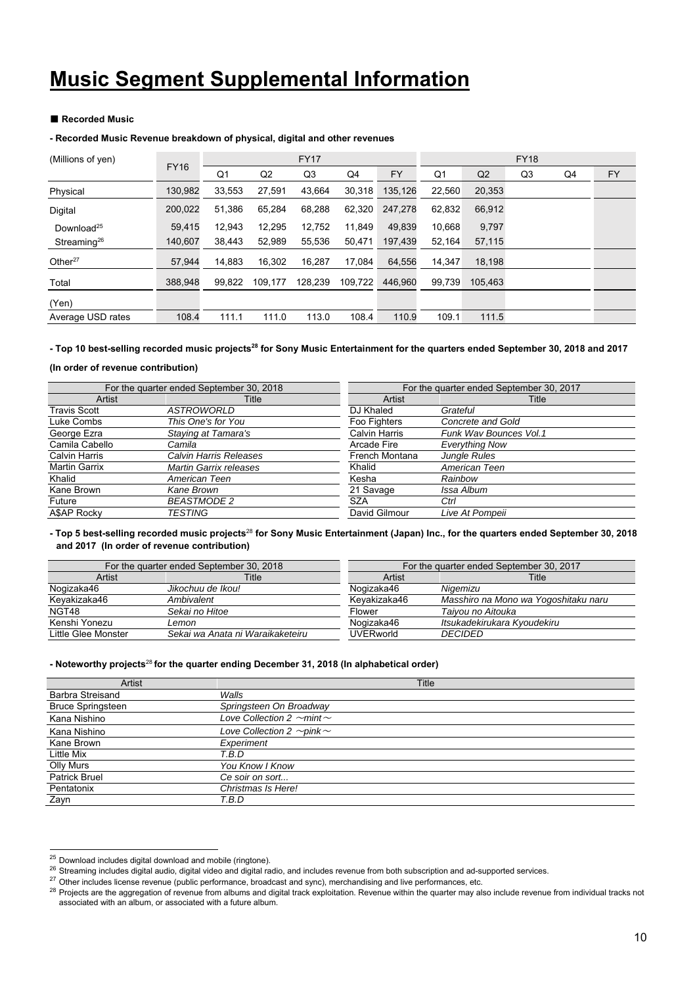# **Music Segment Supplemental Information**

#### ■ Recorded Music

#### **- Recorded Music Revenue breakdown of physical, digital and other revenues**

| (Millions of yen)      |             | <b>FY17</b> |                |         |         |         | <b>FY18</b> |                |    |    |    |  |
|------------------------|-------------|-------------|----------------|---------|---------|---------|-------------|----------------|----|----|----|--|
|                        | <b>FY16</b> | Q1          | Q <sub>2</sub> | Q3      | Q4      | FY      | Q1          | Q <sub>2</sub> | Q3 | Q4 | FY |  |
| Physical               | 130,982     | 33,553      | 27.591         | 43,664  | 30,318  | 135,126 | 22,560      | 20,353         |    |    |    |  |
| Digital                | 200,022     | 51,386      | 65,284         | 68,288  | 62,320  | 247.278 | 62,832      | 66,912         |    |    |    |  |
| Download <sup>25</sup> | 59,415      | 12,943      | 12,295         | 12,752  | 11,849  | 49,839  | 10.668      | 9,797          |    |    |    |  |
| Streaming $^{26}$      | 140,607     | 38,443      | 52,989         | 55,536  | 50,471  | 197,439 | 52,164      | 57,115         |    |    |    |  |
| Other $27$             | 57,944      | 14,883      | 16,302         | 16,287  | 17,084  | 64,556  | 14,347      | 18,198         |    |    |    |  |
| Total                  | 388.948     | 99,822      | 109,177        | 128,239 | 109,722 | 446.960 | 99,739      | 105.463        |    |    |    |  |
| (Yen)                  |             |             |                |         |         |         |             |                |    |    |    |  |
| Average USD rates      | 108.4       | 111.1       | 111.0          | 113.0   | 108.4   | 110.9   | 109.1       | 111.5          |    |    |    |  |

- Top 10 best-selling recorded music projects<sup>28</sup> for Sony Music Entertainment for the quarters ended September 30, 2018 and 2017

#### **(In order of revenue contribution)**

|                      | For the quarter ended September 30, 2018 | For the quarter ended September 30, 2017 |                        |  |  |
|----------------------|------------------------------------------|------------------------------------------|------------------------|--|--|
| Artist               | Title                                    | Artist                                   | Title                  |  |  |
| <b>Travis Scott</b>  | <b>ASTROWORLD</b>                        | DJ Khaled                                | Grateful               |  |  |
| Luke Combs           | This One's for You                       | Foo Fighters                             | Concrete and Gold      |  |  |
| George Ezra          | Staying at Tamara's                      | <b>Calvin Harris</b>                     | Funk Way Bounces Vol.1 |  |  |
| Camila Cabello       | Camila                                   | Arcade Fire                              | <b>Everything Now</b>  |  |  |
| <b>Calvin Harris</b> | Calvin Harris Releases                   | French Montana                           | <b>Jungle Rules</b>    |  |  |
| <b>Martin Garrix</b> | Martin Garrix releases                   | Khalid                                   | American Teen          |  |  |
| Khalid               | American Teen                            | Kesha                                    | Rainbow                |  |  |
| Kane Brown           | Kane Brown                               | 21 Savage                                | Issa Album             |  |  |
| Future               | <b>BEASTMODE 2</b>                       | <b>SZA</b>                               | Ctrl                   |  |  |
| <b>ASAP Rocky</b>    | TESTING                                  | David Gilmour                            | Live At Pompeii        |  |  |

#### **- Top 5 best-selling recorded music projects**<sup>28</sup> **for Sony Music Entertainment (Japan) Inc., for the quarters ended September 30, 2018 and 2017 (In order of revenue contribution)**

|                     | For the quarter ended September 30, 2018 | For the quarter ended September 30, 2017 |                                      |  |  |
|---------------------|------------------------------------------|------------------------------------------|--------------------------------------|--|--|
| Artist              | Title                                    | Artist                                   | Title                                |  |  |
| Nogizaka46          | Jikochuu de Ikou!                        | Noqizaka46                               | Niaemizu                             |  |  |
| Keyakizaka46        | Ambivalent                               | Kevakizaka46                             | Masshiro na Mono wa Yogoshitaku naru |  |  |
| NGT48               | Sekai no Hitoe                           | Flower                                   | Taiyou no Aitouka                    |  |  |
| Kenshi Yonezu       | Lemon                                    | Nogizaka46                               | Itsukadekirukara Kvoudekiru          |  |  |
| Little Glee Monster | Sekai wa Anata ni Waraikaketeiru         | <b>UVERworld</b>                         | <b>DECIDED</b>                       |  |  |

#### **- Noteworthy projects**<sup>28</sup> **for the quarter ending December 31, 2018 (In alphabetical order)**

| Artist                   | Title                                |
|--------------------------|--------------------------------------|
| <b>Barbra Streisand</b>  | Walls                                |
| <b>Bruce Springsteen</b> | Springsteen On Broadway              |
| Kana Nishino             | Love Collection 2 $\sim$ mint $\sim$ |
| Kana Nishino             | Love Collection 2 $\sim$ pink $\sim$ |
| Kane Brown               | Experiment                           |
| Little Mix               | T.B.D                                |
| Olly Murs                | You Know I Know                      |
| <b>Patrick Bruel</b>     | Ce soir on sort                      |
| Pentatonix               | Christmas Is Here!                   |
| Zayn                     | T.B.D                                |

 $^{25}$  Download includes digital download and mobile (ringtone).

<sup>26</sup> Streaming includes digital audio, digital video and digital radio, and includes revenue from both subscription and ad-supported services.<br><sup>26</sup> Other includes license revenue (public performance, broadcast and sync), mer associated with an album, or associated with a future album.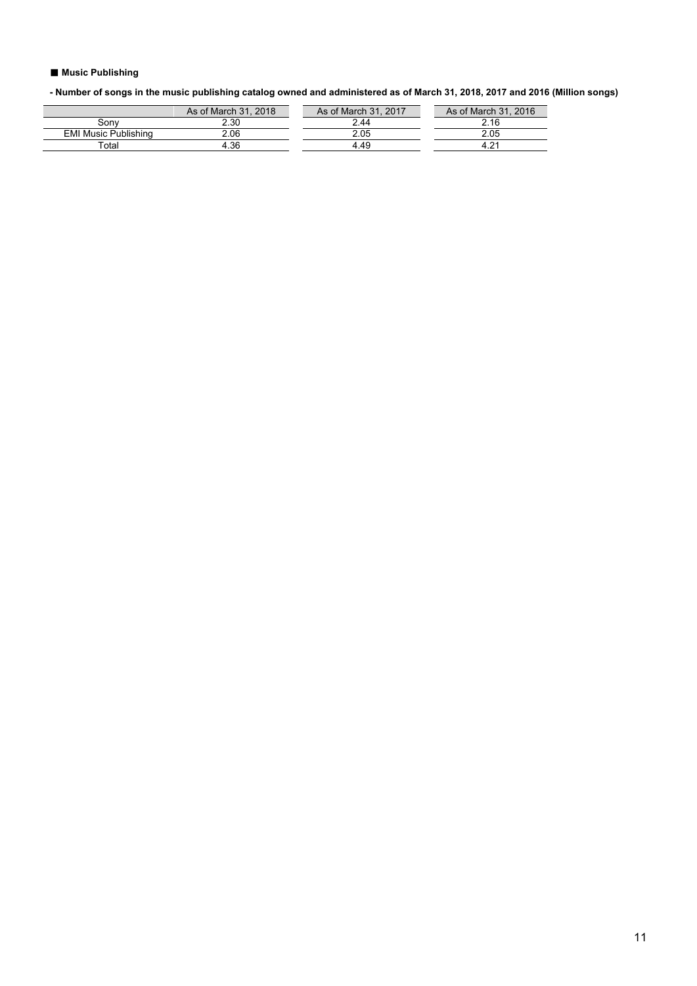## ■ Music Publishing

**- Number of songs in the music publishing catalog owned and administered as of March 31, 2018, 2017 and 2016 (Million songs)** 

| As of March 31, 2018 | As of March 31, 2017 | As of March 31, 2016 |
|----------------------|----------------------|----------------------|
| 2.30                 | 2.44                 | 2.16                 |
| 2.06                 |                      | 2.05                 |
| .36                  | 4 49                 |                      |
|                      |                      |                      |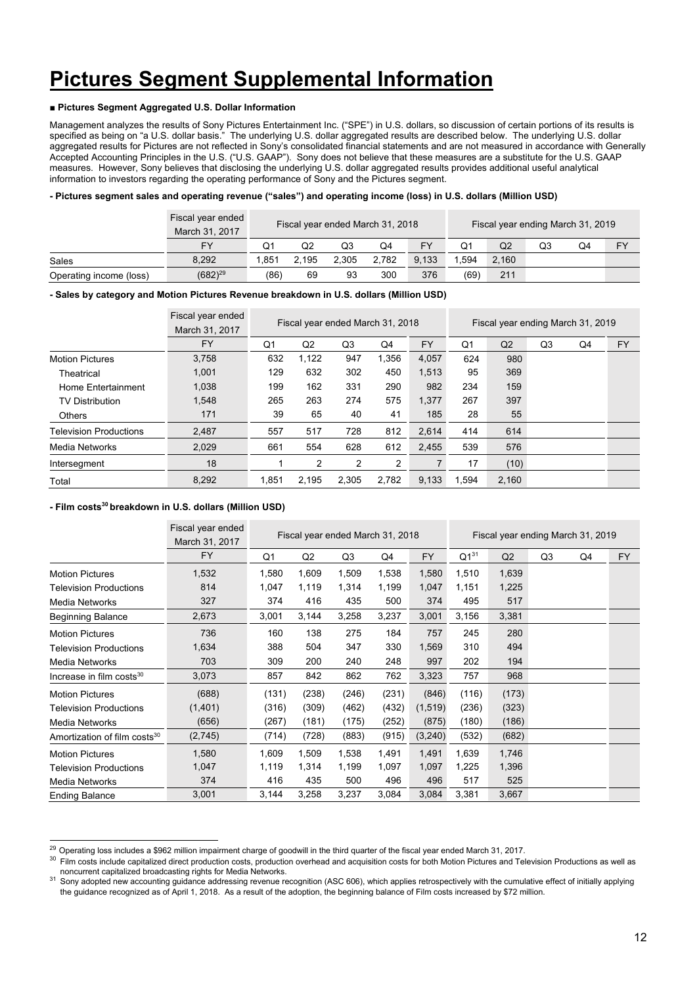# **Pictures Segment Supplemental Information**

## **■ Pictures Segment Aggregated U.S. Dollar Information**

Management analyzes the results of Sony Pictures Entertainment Inc. ("SPE") in U.S. dollars, so discussion of certain portions of its results is specified as being on "a U.S. dollar basis." The underlying U.S. dollar aggregated results are described below. The underlying U.S. dollar aggregated results for Pictures are not reflected in Sony's consolidated financial statements and are not measured in accordance with Generally Accepted Accounting Principles in the U.S. ("U.S. GAAP"). Sony does not believe that these measures are a substitute for the U.S. GAAP measures. However, Sony believes that disclosing the underlying U.S. dollar aggregated results provides additional useful analytical information to investors regarding the operating performance of Sony and the Pictures segment.

#### **- Pictures segment sales and operating revenue ("sales") and operating income (loss) in U.S. dollars (Million USD)**

|                         | Fiscal year ended<br>March 31, 2017 | Fiscal year ended March 31, 2018 |       |       |       | Fiscal year ending March 31, 2019 |      |                |    |    |    |
|-------------------------|-------------------------------------|----------------------------------|-------|-------|-------|-----------------------------------|------|----------------|----|----|----|
|                         | <b>FY</b>                           | Ο1                               | Q2    | Q3    | Q4    | FY                                |      | Q <sub>2</sub> | Q3 | Q4 | FY |
| Sales                   | 8.292                               | 1.851                            | 2.195 | 2.305 | 2.782 | 9.133                             | .594 | 2.160          |    |    |    |
| Operating income (loss) | $(682)^{29}$                        | (86)                             | 69    | 93    | 300   | 376                               | (69) | 211            |    |    |    |

#### **- Sales by category and Motion Pictures Revenue breakdown in U.S. dollars (Million USD)**

|                               | Fiscal year ended<br>March 31, 2017 | Fiscal year ended March 31, 2018 |                |       |       | Fiscal year ending March 31, 2019 |                |       |    |    |           |
|-------------------------------|-------------------------------------|----------------------------------|----------------|-------|-------|-----------------------------------|----------------|-------|----|----|-----------|
|                               | <b>FY</b>                           | Q1                               | Q <sub>2</sub> | Q3    | Q4    | <b>FY</b>                         | Q <sub>1</sub> | Q2    | Q3 | Q4 | <b>FY</b> |
| <b>Motion Pictures</b>        | 3,758                               | 632                              | 1,122          | 947   | 1,356 | 4,057                             | 624            | 980   |    |    |           |
| Theatrical                    | 1,001                               | 129                              | 632            | 302   | 450   | 1,513                             | 95             | 369   |    |    |           |
| Home Entertainment            | 1.038                               | 199                              | 162            | 331   | 290   | 982                               | 234            | 159   |    |    |           |
| <b>TV Distribution</b>        | 1,548                               | 265                              | 263            | 274   | 575   | 1,377                             | 267            | 397   |    |    |           |
| <b>Others</b>                 | 171                                 | 39                               | 65             | 40    | 41    | 185                               | 28             | 55    |    |    |           |
| <b>Television Productions</b> | 2.487                               | 557                              | 517            | 728   | 812   | 2.614                             | 414            | 614   |    |    |           |
| Media Networks                | 2,029                               | 661                              | 554            | 628   | 612   | 2.455                             | 539            | 576   |    |    |           |
| Intersegment                  | 18                                  |                                  | 2              | 2     | 2     |                                   | 17             | (10)  |    |    |           |
| Total                         | 8,292                               | 1.851                            | 2.195          | 2.305 | 2.782 | 9.133                             | 1.594          | 2.160 |    |    |           |

#### **- Film costs30 breakdown in U.S. dollars (Million USD)**

|                                          | Fiscal year ended<br>March 31, 2017 | Fiscal year ended March 31, 2018 |       |                |       | Fiscal year ending March 31, 2019 |           |       |    |    |           |
|------------------------------------------|-------------------------------------|----------------------------------|-------|----------------|-------|-----------------------------------|-----------|-------|----|----|-----------|
|                                          | <b>FY</b>                           | Q1                               | Q2    | Q <sub>3</sub> | Q4    | <b>FY</b>                         | $Q1^{31}$ | Q2    | Q3 | Q4 | <b>FY</b> |
| <b>Motion Pictures</b>                   | 1,532                               | 1,580                            | 1,609 | 1,509          | 1,538 | 1,580                             | 1,510     | 1,639 |    |    |           |
| <b>Television Productions</b>            | 814                                 | 1,047                            | 1,119 | 1,314          | 1,199 | 1,047                             | 1,151     | 1,225 |    |    |           |
| Media Networks                           | 327                                 | 374                              | 416   | 435            | 500   | 374                               | 495       | 517   |    |    |           |
| <b>Beginning Balance</b>                 | 2,673                               | 3,001                            | 3,144 | 3,258          | 3,237 | 3,001                             | 3,156     | 3,381 |    |    |           |
| <b>Motion Pictures</b>                   | 736                                 | 160                              | 138   | 275            | 184   | 757                               | 245       | 280   |    |    |           |
| <b>Television Productions</b>            | 1,634                               | 388                              | 504   | 347            | 330   | 1,569                             | 310       | 494   |    |    |           |
| Media Networks                           | 703                                 | 309                              | 200   | 240            | 248   | 997                               | 202       | 194   |    |    |           |
| Increase in film costs <sup>30</sup>     | 3,073                               | 857                              | 842   | 862            | 762   | 3,323                             | 757       | 968   |    |    |           |
| <b>Motion Pictures</b>                   | (688)                               | (131)                            | (238) | (246)          | (231) | (846)                             | (116)     | (173) |    |    |           |
| <b>Television Productions</b>            | (1,401)                             | (316)                            | (309) | (462)          | (432) | (1,519)                           | (236)     | (323) |    |    |           |
| Media Networks                           | (656)                               | (267)                            | (181) | (175)          | (252) | (875)                             | (180)     | (186) |    |    |           |
| Amortization of film costs <sup>30</sup> | (2,745)                             | (714)                            | (728) | (883)          | (915) | (3,240)                           | (532)     | (682) |    |    |           |
| <b>Motion Pictures</b>                   | 1,580                               | 1,609                            | 1,509 | 1,538          | 1,491 | 1,491                             | 1,639     | 1,746 |    |    |           |
| Television Productions                   | 1,047                               | 1,119                            | 1,314 | 1,199          | 1,097 | 1,097                             | 1,225     | 1,396 |    |    |           |
| Media Networks                           | 374                                 | 416                              | 435   | 500            | 496   | 496                               | 517       | 525   |    |    |           |
| <b>Ending Balance</b>                    | 3,001                               | 3,144                            | 3,258 | 3,237          | 3,084 | 3,084                             | 3,381     | 3,667 |    |    |           |

<sup>&</sup>lt;sup>29</sup> Operating loss includes a \$962 million impairment charge of goodwill in the third quarter of the fiscal year ended March 31, 2017.

<sup>&</sup>lt;sup>30</sup> Film costs include capitalized direct production costs, production overhead and acquisition costs for both Motion Pictures and Television Productions as well as<br>noncurrent capitalized broadcasting rights for Media Net

 $31$  Sony adopted new accounting guidance addressing revenue recognition (ASC 606), which applies retrospectively with the cumulative effect of initially applying the guidance recognized as of April 1, 2018. As a result of the adoption, the beginning balance of Film costs increased by \$72 million.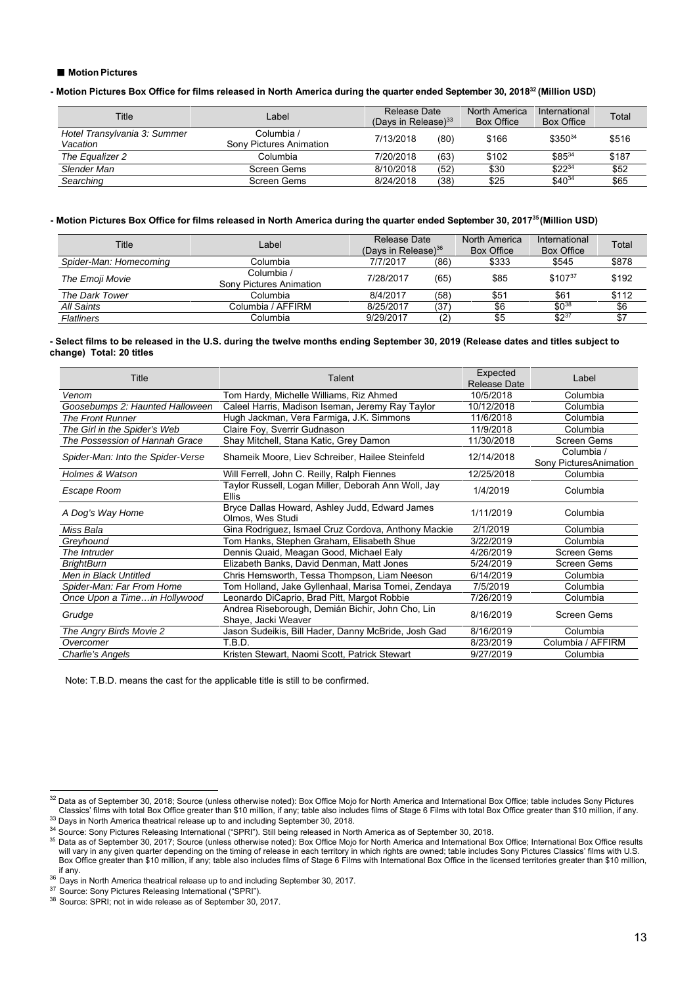#### ■ **Motion Pictures**

**- Motion Pictures Box Office for films released in North America during the quarter ended September 30, 201832 (Million USD)** 

| Title                                    | Label                                 | Release Date<br>(Davs in Release) $33$ |      | North America<br><b>Box Office</b> | International<br>Box Office | Total |
|------------------------------------------|---------------------------------------|----------------------------------------|------|------------------------------------|-----------------------------|-------|
| Hotel Transylvania 3: Summer<br>Vacation | Columbia /<br>Sony Pictures Animation | 7/13/2018                              | (80) | \$166                              | \$35034                     | \$516 |
| The Equalizer 2                          | Columbia                              | 7/20/2018                              | (63) | \$102                              | $$85^{34}$                  | \$187 |
| Slender Man                              | Screen Gems                           | 8/10/2018                              | (52) | \$30                               | $$22^{34}$                  | \$52  |
| Searching                                | Screen Gems                           | 8/24/2018                              | (38) | \$25                               | $$40^{34}$                  | \$65  |

#### **- Motion Pictures Box Office for films released in North America during the quarter ended September 30, 201735 (Million USD)**

| Title                  | Label                                 |           | Release Date<br>(Days in Release) $36$ |       | International<br><b>Box Office</b> | Total |
|------------------------|---------------------------------------|-----------|----------------------------------------|-------|------------------------------------|-------|
| Spider-Man: Homecoming | Columbia                              | 7/7/2017  | (86)                                   | \$333 | \$545                              | \$878 |
| The Emoji Movie        | Columbia /<br>Sony Pictures Animation | 7/28/2017 | (65)                                   | \$85  | $$107^{37}$                        | \$192 |
| The Dark Tower         | Columbia.                             | 8/4/2017  | (58)                                   | \$51  | \$61                               | \$112 |
| All Saints             | Columbia / AFFIRM                     | 8/25/2017 | (37)                                   | \$6   | $$0^{38}$                          | \$6   |
| Flatliners             | Columbia                              | 9/29/2017 | 10                                     | \$5   | $$2^{37}$                          | \$7   |

#### **- Select films to be released in the U.S. during the twelve months ending September 30, 2019 (Release dates and titles subject to change) Total: 20 titles**

| Title                             | Talent                                                                  | Expected<br><b>Release Date</b> | Label                                |
|-----------------------------------|-------------------------------------------------------------------------|---------------------------------|--------------------------------------|
| Venom                             | Tom Hardy, Michelle Williams, Riz Ahmed                                 | 10/5/2018                       | Columbia                             |
| Goosebumps 2: Haunted Halloween   | Caleel Harris, Madison Iseman, Jeremy Ray Taylor                        | 10/12/2018                      | Columbia                             |
| <b>The Front Runner</b>           | Hugh Jackman, Vera Farmiga, J.K. Simmons                                | 11/6/2018                       | Columbia                             |
| The Girl in the Spider's Web      | Claire Foy, Sverrir Gudnason                                            | 11/9/2018                       | Columbia                             |
| The Possession of Hannah Grace    | Shay Mitchell, Stana Katic, Grey Damon                                  | 11/30/2018                      | <b>Screen Gems</b>                   |
| Spider-Man: Into the Spider-Verse | Shameik Moore, Liev Schreiber, Hailee Steinfeld                         | 12/14/2018                      | Columbia /<br>Sony PicturesAnimation |
| <b>Holmes &amp; Watson</b>        | Will Ferrell, John C. Reilly, Ralph Fiennes                             | 12/25/2018                      | Columbia                             |
| Escape Room                       | Taylor Russell, Logan Miller, Deborah Ann Woll, Jay<br>Ellis            | 1/4/2019                        | Columbia                             |
| A Dog's Way Home                  | Bryce Dallas Howard, Ashley Judd, Edward James<br>Olmos, Wes Studi      | 1/11/2019                       | Columbia                             |
| Miss Bala                         | Gina Rodriguez, Ismael Cruz Cordova, Anthony Mackie                     | 2/1/2019                        | Columbia                             |
| Greyhound                         | Tom Hanks, Stephen Graham, Elisabeth Shue                               | 3/22/2019                       | Columbia                             |
| The Intruder                      | Dennis Quaid, Meagan Good, Michael Ealy                                 | 4/26/2019                       | <b>Screen Gems</b>                   |
| <b>BrightBurn</b>                 | Elizabeth Banks, David Denman, Matt Jones                               | 5/24/2019                       | Screen Gems                          |
| Men in Black Untitled             | Chris Hemsworth, Tessa Thompson, Liam Neeson                            | 6/14/2019                       | Columbia                             |
| Spider-Man: Far From Home         | Tom Holland, Jake Gyllenhaal, Marisa Tomei, Zendaya                     | 7/5/2019                        | Columbia                             |
| Once Upon a Timein Hollywood      | Leonardo DiCaprio, Brad Pitt, Margot Robbie                             | 7/26/2019                       | Columbia                             |
| Grudge                            | Andrea Riseborough, Demián Bichir, John Cho, Lin<br>Shaye, Jacki Weaver | 8/16/2019                       | Screen Gems                          |
| The Angry Birds Movie 2           | Jason Sudeikis, Bill Hader, Danny McBride, Josh Gad                     | 8/16/2019                       | Columbia                             |
| Overcomer                         | T.B.D.                                                                  | 8/23/2019                       | Columbia / AFFIRM                    |
| Charlie's Angels                  | Kristen Stewart, Naomi Scott, Patrick Stewart                           | 9/27/2019                       | Columbia                             |

Note: T.B.D. means the cast for the applicable title is still to be confirmed.

l

 $^{32}$  Data as of September 30, 2018; Source (unless otherwise noted): Box Office Mojo for North America and International Box Office; table includes Sony Pictures Classics' films with total Box Office greater than \$10 million, if any; table also includes films of Stage 6 Films with total Box Office greater than \$10 million, if any.<br><sup>33</sup> Days in North America theatrical release up to

<sup>&</sup>lt;sup>35</sup> Data as of September 30, 2017; Source (unless otherwise noted): Box Office Mojo for North America and International Box Office; International Box Office results will vary in any given quarter depending on the timing of release in each territory in which rights are owned; table includes Sony Pictures Classics' films with U.S. Box Office greater than \$10 million, if any; table also includes films of Stage 6 Films with International Box Office in the licensed territories greater than \$10 million, if any.

<sup>&</sup>lt;sup>36</sup> Days in North America theatrical release up to and including September 30, 2017.<br><sup>37</sup> Source: Sony Pictures Releasing International ("SPRI").<br><sup>38</sup> Source: SPRI; not in wide release as of September 30, 2017.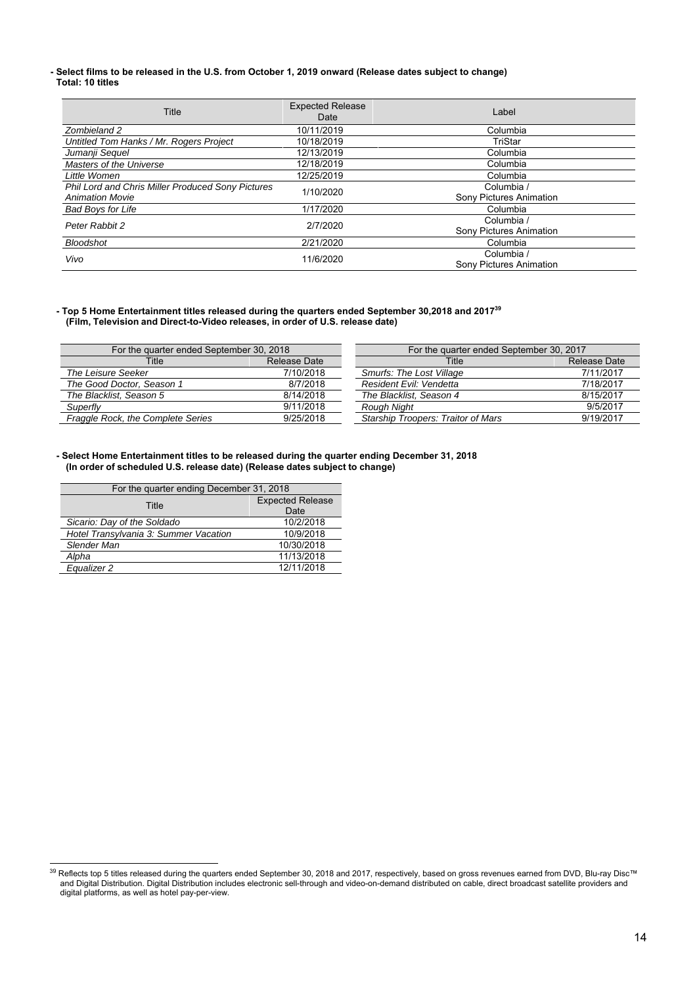#### **- Select films to be released in the U.S. from October 1, 2019 onward (Release dates subject to change) Total: 10 titles**

| Title                                                    | <b>Expected Release</b><br>Date | Label                          |
|----------------------------------------------------------|---------------------------------|--------------------------------|
| Zombieland 2                                             | 10/11/2019                      | Columbia                       |
| Untitled Tom Hanks / Mr. Rogers Project                  | 10/18/2019                      | TriStar                        |
| Jumanji Seguel                                           | 12/13/2019                      | Columbia                       |
| Masters of the Universe                                  | 12/18/2019                      | Columbia                       |
| Little Women                                             | 12/25/2019                      | Columbia                       |
| <b>Phil Lord and Chris Miller Produced Sony Pictures</b> | 1/10/2020                       | Columbia /                     |
| <b>Animation Movie</b>                                   |                                 | <b>Sony Pictures Animation</b> |
| <b>Bad Boys for Life</b>                                 | 1/17/2020                       | Columbia                       |
| Peter Rabbit 2                                           | 2/7/2020                        | Columbia /                     |
|                                                          |                                 | <b>Sony Pictures Animation</b> |
| <b>Bloodshot</b>                                         | 2/21/2020                       | Columbia                       |
| Vivo                                                     | 11/6/2020                       | Columbia /                     |
|                                                          |                                 | <b>Sony Pictures Animation</b> |

#### **- Top 5 Home Entertainment titles released during the quarters ended September 30,2018 and 201739 (Film, Television and Direct-to-Video releases, in order of U.S. release date)**

| For the quarter ended September 30, 2018 |           | For the quarter ended September 30, 2017 |              |  |
|------------------------------------------|-----------|------------------------------------------|--------------|--|
| Release Date<br>Title                    |           | Title                                    | Release Date |  |
| The Leisure Seeker                       | 7/10/2018 | Smurfs: The Lost Village                 | 7/11/2017    |  |
| The Good Doctor, Season 1                | 8/7/2018  | Resident Evil: Vendetta                  | 7/18/2017    |  |
| The Blacklist, Season 5                  | 8/14/2018 | The Blacklist. Season 4                  | 8/15/2017    |  |
| Superfly                                 | 9/11/2018 | Rough Night                              | 9/5/2017     |  |
| Fraggle Rock, the Complete Series        | 9/25/2018 | Starship Troopers: Traitor of Mars       | 9/19/2017    |  |

#### **- Select Home Entertainment titles to be released during the quarter ending December 31, 2018 (In order of scheduled U.S. release date) (Release dates subject to change)**

| For the quarter ending December 31, 2018 |                         |  |  |  |  |  |
|------------------------------------------|-------------------------|--|--|--|--|--|
| Title                                    | <b>Expected Release</b> |  |  |  |  |  |
|                                          | Date                    |  |  |  |  |  |
| Sicario: Day of the Soldado              | 10/2/2018               |  |  |  |  |  |
| Hotel Transylvania 3: Summer Vacation    | 10/9/2018               |  |  |  |  |  |
| Slender Man                              | 10/30/2018              |  |  |  |  |  |
| Alpha                                    | 11/13/2018              |  |  |  |  |  |
| Equalizer 2                              | 12/11/2018              |  |  |  |  |  |

 $^{39}$  Reflects top 5 titles released during the quarters ended September 30, 2018 and 2017, respectively, based on gross revenues earned from DVD, Blu-ray Disc™ and Digital Distribution. Digital Distribution includes electronic sell-through and video-on-demand distributed on cable, direct broadcast satellite providers and digital platforms, as well as hotel pay-per-view.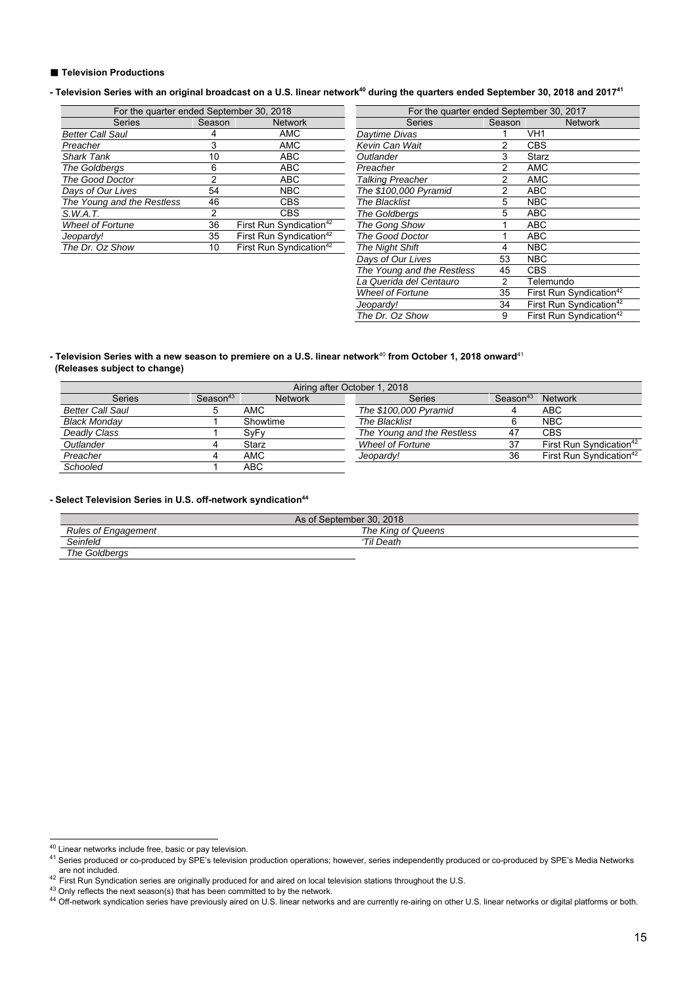#### ■ **Television Productions**

### - Television Series with an original broadcast on a U.S. linear network<sup>40</sup> during the quarters ended September 30, 2018 and 2017<sup>41</sup>

| For the quarter ended September 30, 2018 |        |                                     | For the quarter ended September |        |            |  |
|------------------------------------------|--------|-------------------------------------|---------------------------------|--------|------------|--|
| <b>Series</b>                            | Season | <b>Network</b>                      | <b>Series</b>                   | Season |            |  |
| <b>Better Call Saul</b>                  |        | <b>AMC</b>                          | Daytime Divas                   |        | VH1        |  |
| Preacher                                 |        | <b>AMC</b>                          | Kevin Can Wait                  |        | CBS        |  |
| <b>Shark Tank</b>                        | 10     | ABC                                 | Outlander                       | 3      | Starz      |  |
| The Goldbergs                            | 6      | ABC <sub></sub>                     | Preacher                        |        | <b>AMC</b> |  |
| The Good Doctor                          |        | ABC                                 | Talking Preacher                | 2      | <b>AMC</b> |  |
| Days of Our Lives                        | 54     | <b>NBC</b>                          | The \$100,000 Pyramid           | 2      | ABC        |  |
| The Young and the Restless               | 46     | <b>CBS</b>                          | <b>The Blacklist</b>            | 5      | <b>NBC</b> |  |
| S.W.A.T.                                 |        | <b>CBS</b>                          | The Goldbergs                   | 5      | ABC        |  |
| <b>Wheel of Fortune</b>                  | 36     | First Run Syndication <sup>42</sup> | The Gong Show                   |        | ABC        |  |
| Jeopardy!                                | 35     | First Run Syndication <sup>42</sup> | <b>The Good Doctor</b>          |        | ABC        |  |
| The Dr. Oz Show                          | 10     | First Run Syndication <sup>42</sup> | <b>The Night Shift</b>          | 4      | <b>NBC</b> |  |
|                                          |        |                                     |                                 |        |            |  |

| For the quarter ended September 30, 2018 |        |                                     | For the quarter ended September 30, 2017 |        |                                     |  |  |
|------------------------------------------|--------|-------------------------------------|------------------------------------------|--------|-------------------------------------|--|--|
| <b>Series</b>                            | Season | <b>Network</b>                      | <b>Series</b>                            | Season | <b>Network</b>                      |  |  |
| aul`                                     |        | AMC                                 | Daytime Divas                            |        | VH <sub>1</sub>                     |  |  |
|                                          | 3      | <b>AMC</b>                          | Kevin Can Wait                           | 2      | <b>CBS</b>                          |  |  |
|                                          | 10     | <b>ABC</b>                          | Outlander                                | 3      | Starz                               |  |  |
| gs                                       | 6      | <b>ABC</b>                          | Preacher                                 | 2      | <b>AMC</b>                          |  |  |
| octor                                    | 2      | <b>ABC</b>                          | Talking Preacher                         | 2      | <b>AMC</b>                          |  |  |
| Lives                                    | 54     | <b>NBC</b>                          | The \$100,000 Pyramid                    | 2      | <b>ABC</b>                          |  |  |
| and the Restless                         | 46     | <b>CBS</b>                          | The Blacklist                            | 5      | <b>NBC</b>                          |  |  |
|                                          | 2      | <b>CBS</b>                          | The Goldbergs                            | 5      | <b>ABC</b>                          |  |  |
| rtune                                    | 36     | First Run Syndication <sup>42</sup> | The Gong Show                            |        | <b>ABC</b>                          |  |  |
|                                          | 35     | First Run Syndication <sup>42</sup> | The Good Doctor                          |        | <b>ABC</b>                          |  |  |
| Show                                     | 10     | First Run Syndication <sup>42</sup> | <b>The Night Shift</b>                   | 4      | <b>NBC</b>                          |  |  |
|                                          |        |                                     | Days of Our Lives                        | 53     | <b>NBC</b>                          |  |  |
|                                          |        |                                     | The Young and the Restless               | 45     | <b>CBS</b>                          |  |  |
|                                          |        |                                     | La Querida del Centauro                  | 2      | Telemundo                           |  |  |
|                                          |        |                                     | <b>Wheel of Fortune</b>                  | 35     | First Run Syndication <sup>42</sup> |  |  |
|                                          |        |                                     | Jeopardy!                                | 34     | First Run Syndication <sup>42</sup> |  |  |
|                                          |        |                                     | The Dr. Oz Show                          | 9      | First Run Syndication <sup>42</sup> |  |  |
|                                          |        |                                     |                                          |        |                                     |  |  |

#### **- Television Series with a new season to premiere on a U.S. linear network**<sup>40</sup> **from October 1, 2018 onward**<sup>41</sup>  **(Releases subject to change)**

| Airing after October 1, 2018 |                      |                |                            |                      |                                     |  |  |  |
|------------------------------|----------------------|----------------|----------------------------|----------------------|-------------------------------------|--|--|--|
| <b>Series</b>                | Season <sup>43</sup> | <b>Network</b> | <b>Series</b>              | Season <sup>43</sup> | <b>Network</b>                      |  |  |  |
| <b>Better Call Saul</b>      |                      | <b>AMC</b>     | The \$100,000 Pyramid      |                      | ABC                                 |  |  |  |
| <b>Black Monday</b>          |                      | Showtime       | <b>The Blacklist</b>       | 6                    | <b>NBC</b>                          |  |  |  |
| Deadly Class                 |                      | SyFy           | The Young and the Restless | -47                  | <b>CBS</b>                          |  |  |  |
| Outlander                    |                      | Starz          | <b>Wheel of Fortune</b>    | 37                   | First Run Syndication <sup>42</sup> |  |  |  |
| Preacher                     |                      | AMC            | Jeopardy!                  | 36                   | First Run Syndication <sup>42</sup> |  |  |  |
| Schooled                     |                      | ABC            |                            |                      |                                     |  |  |  |

#### - Select Television Series in U.S. off-network syndication<sup>44</sup>

| As of September 30, 2018   |                    |  |  |  |  |
|----------------------------|--------------------|--|--|--|--|
| <b>Rules of Engagement</b> | The King of Queens |  |  |  |  |
| Seinfeld                   | 'Til Death         |  |  |  |  |
| The Goldbergs              |                    |  |  |  |  |

<sup>&</sup>lt;sup>40</sup> Linear networks include free, basic or pay television.

<sup>40</sup> Linear networks include free, basic or pay television. 41 Series produced or co-produced by SPE's television production operations; however, series independently produced or co-produced by SPE's Media Networks are not included.<br>
The contract of the contract of the contract of the contract of the contract of the contract of the contract of the contract of the contract of the control of the control of the network.<br>
The control of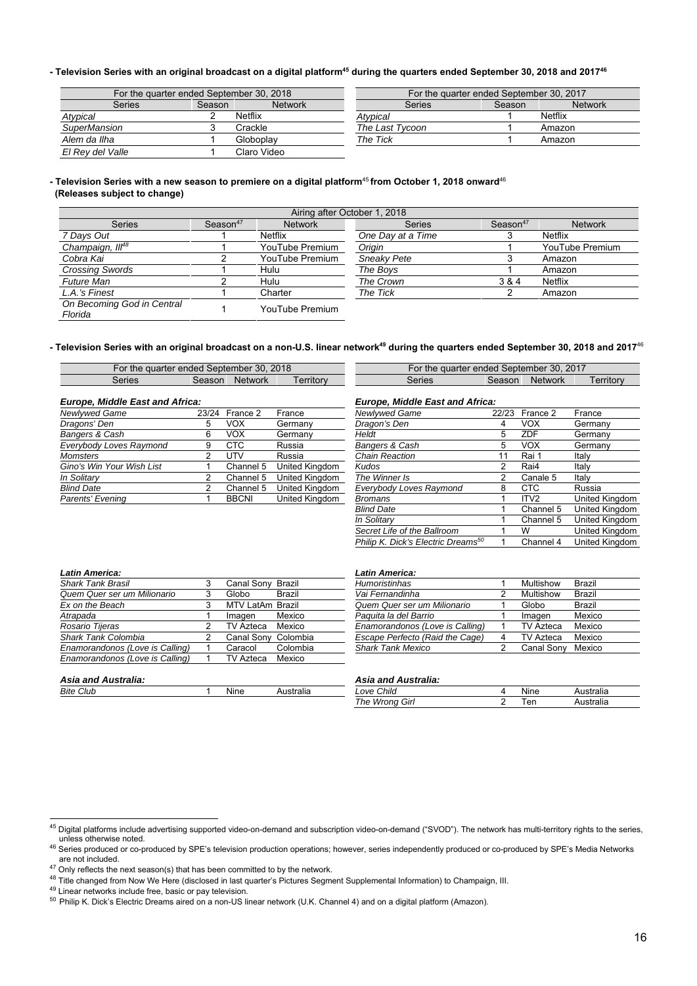#### - Television Series with an original broadcast on a digital platform<sup>45</sup> during the quarters ended September 30, 2018 and 2017<sup>46</sup>

| For the quarter ended September 30, 2018 |        |                | For the quarter ended September 30, 2017 |        |                |  |
|------------------------------------------|--------|----------------|------------------------------------------|--------|----------------|--|
| Series                                   | Season | <b>Network</b> | Series                                   | Season | <b>Network</b> |  |
| Atypical                                 |        | <b>Netflix</b> | Atypical                                 |        | Netflix        |  |
| <b>SuperMansion</b>                      |        | Crackle        | The Last Tycoon                          |        | Amazon         |  |
| Alem da Ilha                             |        | Globoplay      | The Tick                                 |        | Amazon         |  |
| El Rev del Valle                         |        | Claro Video    |                                          |        |                |  |

#### **- Television Series with a new season to premiere on a digital platform**<sup>45</sup>**from October 1, 2018 onward**<sup>46</sup>  **(Releases subject to change)**

| Airing after October 1, 2018          |                                        |                 |                    |                      |                 |  |  |
|---------------------------------------|----------------------------------------|-----------------|--------------------|----------------------|-----------------|--|--|
| <b>Series</b>                         | Season <sup>47</sup><br><b>Network</b> |                 | <b>Series</b>      | Season <sup>47</sup> | <b>Network</b>  |  |  |
| 7 Days Out                            |                                        | <b>Netflix</b>  | One Day at a Time  |                      | <b>Netflix</b>  |  |  |
| Champaign, III <sup>48</sup>          |                                        | YouTube Premium | Origin             |                      | YouTube Premium |  |  |
| Cobra Kai                             |                                        | YouTube Premium | <b>Sneakv Pete</b> |                      | Amazon          |  |  |
| <b>Crossing Swords</b>                |                                        | Hulu            | The Boys           |                      | Amazon          |  |  |
| <b>Future Man</b>                     |                                        | Hulu            | The Crown          | 3 & 4                | <b>Netflix</b>  |  |  |
| L.A.'s Finest                         |                                        | Charter         | The Tick           |                      | Amazon          |  |  |
| On Becoming God in Central<br>Florida |                                        | YouTube Premium |                    |                      |                 |  |  |

# - Television Series with an original broadcast on a non-U.S. linear network<sup>49</sup> during the quarters ended September 30, 2018 and 2017<sup>46</sup>

| 2018<br>30<br>∍ quarter ended September ∶<br>-or<br>the |        |                | 2017<br>30.<br>r the quarter ended September<br>⊦or |  |  |        |        |                |  |
|---------------------------------------------------------|--------|----------------|-----------------------------------------------------|--|--|--------|--------|----------------|--|
| Series                                                  | beason | <b>Network</b> | erritory                                            |  |  | Series | season | <b>Network</b> |  |
|                                                         |        |                |                                                     |  |  |        |        |                |  |

| <b>Europe, Middle East and Africa:</b> |  |                |                | <b>Europe, Middle East and Africa:</b> |  |                  |                       |
|----------------------------------------|--|----------------|----------------|----------------------------------------|--|------------------|-----------------------|
| Newlywed Game                          |  | 23/24 France 2 | France         | Newlywed Game                          |  | 22/23 France 2   | France                |
| Dragons' Den                           |  | vox            | Germanv        | Dragon's Den                           |  | <b>VOX</b>       | Germany               |
| Bangers & Cash                         |  | vox            | Germany        | Heldt                                  |  | <b>ZDF</b>       | Germany               |
| Everybody Loves Raymond                |  | <b>CTC</b>     | Russia         | Bangers & Cash                         |  | <b>VOX</b>       | Germany               |
| <b>Momsters</b>                        |  | UTV            | Russia         | Chain Reaction                         |  | Rai 1            | Italv                 |
| Gino's Win Your Wish List              |  | Channel 5      | United Kingdom | Kudos                                  |  | Rai4             | Italy                 |
| In Solitary                            |  | Channel 5      | United Kingdom | The Winner Is                          |  | Canale 5         | Italy                 |
| <b>Blind Date</b>                      |  | Channel 5      | United Kingdom | Everybody Loves Raymond                |  | CTC              | Russia                |
| Parents' Evening                       |  | <b>BBCNI</b>   | United Kinadom | <b>Bromans</b>                         |  | ITV <sub>2</sub> | <b>United Kinadom</b> |

| For the quarter ended September 30, 2018 |        |                | For the quarter ended September 30, 2017 |        |        |                |          |  |
|------------------------------------------|--------|----------------|------------------------------------------|--------|--------|----------------|----------|--|
| <b>Series</b>                            | Season | <b>Network</b> | erritory                                 | Series | Season | <b>Network</b> | erritory |  |

| 24 | France 2     | France         | Newlywed Game                                  | 22/23 | France 2         | France         |
|----|--------------|----------------|------------------------------------------------|-------|------------------|----------------|
|    | VOX.         | Germany        | Dragon's Den                                   | 4     | <b>VOX</b>       | Germany        |
|    | VOX.         | Germany        | Heldt                                          | 5     | ZDF              | Germany        |
|    | <b>CTC</b>   | Russia         | Bangers & Cash                                 | 5     | VOX.             | Germany        |
|    | UTV          | Russia         | Chain Reaction                                 | 11    | Rai 1            | Italy          |
|    | Channel 5    | United Kingdom | Kudos                                          | 2     | Rai4             | Italy          |
|    | Channel 5    | United Kingdom | The Winner Is                                  | 2     | Canale 5         | Italy          |
|    | Channel 5    | United Kingdom | Everybody Loves Raymond                        | 8     | <b>CTC</b>       | Russia         |
|    | <b>BBCNI</b> | United Kingdom | Bromans                                        |       | ITV <sub>2</sub> | United Kingdom |
|    |              |                | <b>Blind Date</b>                              |       | Channel 5        | United Kingdom |
|    |              |                | In Solitarv                                    |       | Channel 5        | United Kingdom |
|    |              |                | Secret Life of the Ballroom                    |       | w                | United Kingdom |
|    |              |                | Philip K. Dick's Electric Dreams <sup>50</sup> |       | Channel 4        | United Kingdom |
|    |              |                |                                                |       |                  |                |

| <b>Shark Tank Brasil</b>        |   | Canal Sony Brazil   |          | <b>Humoristinhas</b>            | Multishow        | Brazil |
|---------------------------------|---|---------------------|----------|---------------------------------|------------------|--------|
| Quem Quer ser um Milionario     |   | Globo               | Brazil   | Vai Fernandinha                 | Multishow        | Brazil |
| Ex on the Beach                 | 3 | MTV LatAm Brazil    |          | Quem Quer ser um Milionario     | Globo            | Brazil |
| Atrapada                        |   | Imagen              | Mexico   | Paguita la del Barrio           | Imagen           | Mexico |
| Rosario Tijeras                 |   | TV Azteca           | Mexico   | Enamorandonos (Love is Calling) | <b>TV Azteca</b> | Mexico |
| <b>Shark Tank Colombia</b>      |   | Canal Sony Colombia |          | Escape Perfecto (Raid the Cage) | <b>TV Azteca</b> | Mexico |
| Enamorandonos (Love is Calling) |   | Caracol             | Colombia | <b>Shark Tank Mexico</b>        | Canal Sony       | Mexico |
| Enamorandonos (Love is Calling) |   | TV Azteca           | Mexico   |                                 |                  |        |
| <b>Asia and Australia:</b>      |   |                     |          | Asia and Australia:             |                  |        |

| Latin America:                  |                     |          | <b>Latin America:</b>           |            |               |
|---------------------------------|---------------------|----------|---------------------------------|------------|---------------|
| Shark Tank Brasil               | Canal Sonv          | Brazil   | <b>Humoristinhas</b>            | Multishow  | Brazil        |
| Quem Quer ser um Milionario     | Globo               | Brazil   | Vai Fernandinha                 | Multishow  | Brazil        |
| Ex on the Beach                 | MTV LatAm Brazil    |          | Quem Quer ser um Milionario     | Globo      | <b>Brazil</b> |
| Atrapada                        | Imagen              | Mexico   | Paguita la del Barrio           | Imagen     | Mexico        |
| Rosario Tijeras                 | TV Azteca           | Mexico   | Enamorandonos (Love is Calling) | TV Azteca  | Mexico        |
| <b>Shark Tank Colombia</b>      | Canal Sony Colombia |          | Escape Perfecto (Raid the Cage) | TV Azteca  | Mexico        |
| Enamorandonos (Love is Calling) | Caracol             | Colombia | <b>Shark Tank Mexico</b>        | Canal Sonv | Mexico        |

| Asia and Australia: |      |          | Australia:<br>Asia and |      |           |
|---------------------|------|----------|------------------------|------|-----------|
| <b>Bite Club</b>    | Nine | stralia· | Love Child             | Nine | Australia |
|                     |      |          | The Wrong Girl         | ⊺er  | Australia |

 $^{45}$  Digital platforms include advertising supported video-on-demand and subscription video-on-demand ("SVOD"). The network has multi-territory rights to the series,

unless otherwise noted.<br>
<sup>46</sup> Series produced or co-produced by SPE's television production operations; however, series independently produced or co-produced by SPE's Media Networks<br>
are not included.<br>
<sup>47</sup> Only reflects t

are not included the next season(s) that has been computed to be next season of the network. The changed from Now We Here (disclosed in last quarter's Pictures Segment Supplemental Information) to Champaign, III.

<sup>49</sup> Linear networks include free, basic or pay television.

<sup>50</sup> Philip K. Dick's Electric Dreams aired on a non-US linear network (U.K. Channel 4) and on a digital platform (Amazon).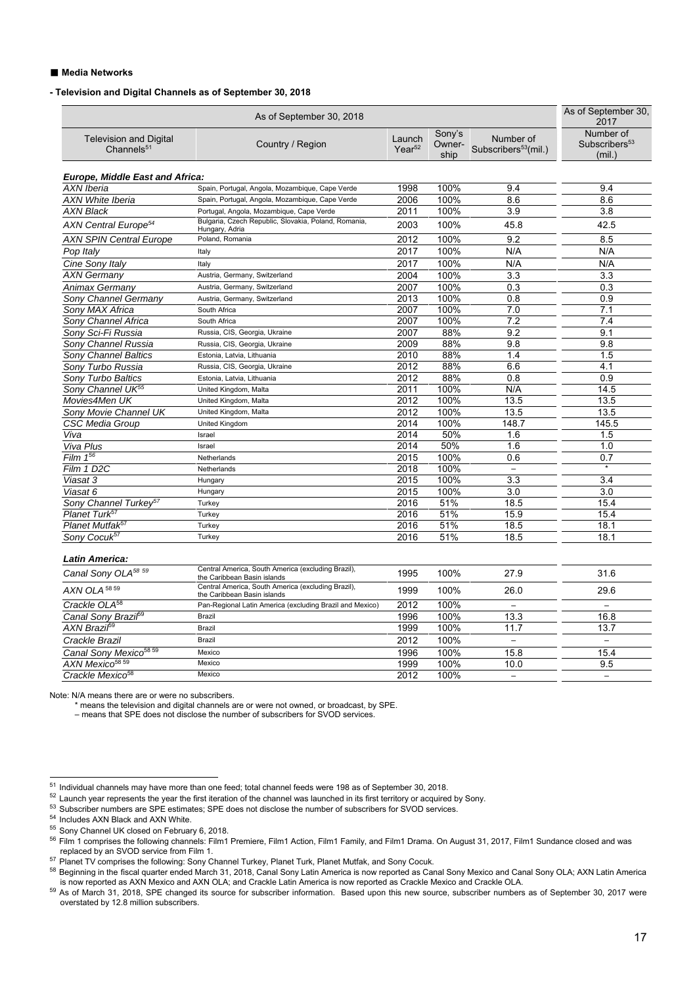#### ■ Media Networks

#### **- Television and Digital Channels as of September 30, 2018**

|                                                         |                                                                                   | As of September 30,<br>2017 |                          |                                               |                                                  |
|---------------------------------------------------------|-----------------------------------------------------------------------------------|-----------------------------|--------------------------|-----------------------------------------------|--------------------------------------------------|
| <b>Television and Digital</b><br>Channels <sup>51</sup> | Country / Region                                                                  | Launch<br>$Year^{52}$       | Sony's<br>Owner-<br>ship | Number of<br>Subscribers <sup>53</sup> (mil.) | Number of<br>Subscribers <sup>53</sup><br>(mil.) |
| <b>Europe, Middle East and Africa:</b>                  |                                                                                   |                             |                          |                                               |                                                  |
| <b>AXN Iberia</b>                                       | Spain, Portugal, Angola, Mozambique, Cape Verde                                   | 1998                        | 100%                     | 9.4                                           | 9.4                                              |
| <b>AXN White Iberia</b>                                 | Spain, Portugal, Angola, Mozambique, Cape Verde                                   | 2006                        | 100%                     | 8.6                                           | 8.6                                              |
| <b>AXN Black</b>                                        | Portugal, Angola, Mozambique, Cape Verde                                          | 2011                        | 100%                     | 3.9                                           | 3.8                                              |
| AXN Central Europe <sup>54</sup>                        | Bulgaria, Czech Republic, Slovakia, Poland, Romania,<br>Hungary, Adria            | 2003                        | 100%                     | 45.8                                          | 42.5                                             |
| <b>AXN SPIN Central Europe</b>                          | Poland, Romania                                                                   | 2012                        | 100%                     | 9.2                                           | 8.5                                              |
| Pop Italy                                               | Italy                                                                             | 2017                        | 100%                     | N/A                                           | N/A                                              |
| Cine Sony Italy                                         | Italy                                                                             | 2017                        | 100%                     | N/A                                           | N/A                                              |
| <b>AXN Germany</b>                                      | Austria, Germany, Switzerland                                                     | 2004                        | 100%                     | 3.3                                           | 3.3                                              |
| Animax Germany                                          | Austria, Germany, Switzerland                                                     | 2007                        | 100%                     | 0.3                                           | 0.3                                              |
| Sony Channel Germany                                    | Austria, Germany, Switzerland                                                     | 2013                        | 100%                     | 0.8                                           | 0.9                                              |
| Sony MAX Africa                                         | South Africa                                                                      | 2007                        | 100%                     | 7.0                                           | 7.1                                              |
| Sony Channel Africa                                     | South Africa                                                                      | 2007                        | 100%                     | 7.2                                           | 7.4                                              |
| Sony Sci-Fi Russia                                      | Russia, CIS, Georgia, Ukraine                                                     | 2007                        | 88%                      | 9.2                                           | 9.1                                              |
| Sony Channel Russia                                     | Russia, CIS, Georgia, Ukraine                                                     | 2009                        | 88%                      | 9.8                                           | 9.8                                              |
| <b>Sony Channel Baltics</b>                             | Estonia, Latvia, Lithuania                                                        | 2010                        | 88%                      | 1.4                                           | 1.5                                              |
| Sony Turbo Russia                                       | Russia, CIS, Georgia, Ukraine                                                     | 2012                        | 88%                      | 6.6                                           | 4.1                                              |
| Sony Turbo Baltics                                      | Estonia, Latvia, Lithuania                                                        | 2012                        | 88%                      | 0.8                                           | 0.9                                              |
| Sony Channel UK <sup>55</sup>                           | United Kingdom, Malta                                                             | 2011                        | 100%                     | N/A                                           | 14.5                                             |
| Movies4Men UK                                           | United Kingdom, Malta                                                             | 2012                        | 100%                     | 13.5                                          | 13.5                                             |
| Sony Movie Channel UK                                   | United Kingdom, Malta                                                             | 2012                        | 100%                     | 13.5                                          | 13.5                                             |
| <b>CSC Media Group</b>                                  | United Kingdom                                                                    | 2014                        | 100%                     | 148.7                                         | 145.5                                            |
| Viva                                                    | Israel                                                                            | 2014                        | 50%                      | 1.6                                           | 1.5                                              |
| Viva Plus                                               | Israel                                                                            | 2014                        | 50%                      | 1.6                                           | 1.0                                              |
| Film $1^{56}$                                           | Netherlands                                                                       | 2015                        | 100%                     | 0.6                                           | 0.7                                              |
| Film 1 D <sub>2</sub> C                                 | Netherlands                                                                       | 2018                        | 100%                     |                                               | $\star$                                          |
| Viasat 3                                                | Hungary                                                                           | 2015                        | 100%                     | 3.3                                           | 3.4                                              |
| Viasat 6                                                | Hungary                                                                           | 2015                        | 100%                     | 3.0                                           | 3.0                                              |
| Sony Channel Turkey <sup>57</sup>                       | Turkey                                                                            | 2016                        | 51%                      | 18.5                                          | 15.4                                             |
| Planet Turk <sup>57</sup>                               | Turkey                                                                            | 2016                        | 51%                      | 15.9                                          | 15.4                                             |
| Planet Mutfak <sup>57</sup>                             | Turkey                                                                            | 2016                        | 51%                      | 18.5                                          | 18.1                                             |
| Sony Cocuk <sup>57</sup>                                | Turkey                                                                            | 2016                        | 51%                      | 18.5                                          | 18.1                                             |
| <b>Latin America:</b>                                   |                                                                                   |                             |                          |                                               |                                                  |
| Canal Sony OLA <sup>58 59</sup>                         | Central America, South America (excluding Brazil),<br>the Caribbean Basin islands | 1995                        | 100%                     | 27.9                                          | 31.6                                             |
| AXN OLA <sup>58 59</sup>                                | Central America, South America (excluding Brazil),<br>the Caribbean Basin islands | 1999                        | 100%                     | 26.0                                          | 29.6                                             |
| Crackle OLA <sup>58</sup>                               | Pan-Regional Latin America (excluding Brazil and Mexico)                          | 2012                        | 100%                     | $\overline{a}$                                |                                                  |
| Canal Sony Brazi <sup>69</sup>                          | Brazil                                                                            | 1996                        | 100%                     | 13.3                                          | 16.8                                             |
| AXN Brazif <sup>59</sup>                                | Brazil                                                                            | 1999                        | 100%                     | 11.7                                          | 13.7                                             |
| Crackle Brazil                                          | <b>Brazil</b>                                                                     | 2012                        | 100%                     | $\overline{\phantom{0}}$                      | $\overline{\phantom{0}}$                         |
| Canal Sony Mexico <sup>58 59</sup>                      | Mexico                                                                            | 1996                        | 100%                     | 15.8                                          | 15.4                                             |
| AXN Mexico <sup>58 59</sup>                             | Mexico                                                                            | 1999                        | 100%                     | 10.0                                          | 9.5                                              |
| Crackle Mexico <sup>58</sup>                            | Mexico                                                                            | 2012                        | 100%                     | $\overline{\phantom{0}}$                      | $\qquad \qquad -$                                |
|                                                         |                                                                                   |                             |                          |                                               |                                                  |

Note: N/A means there are or were no subscribers.

\* means the television and digital channels are or were not owned, or broadcast, by SPE.

– means that SPE does not disclose the number of subscribers for SVOD services.

 $52$  Launch year represents the year the first iteration of the channel was launched in its first territory or acquired by Sony.

53 Subscriber numbers are SPE estimates; SPE does not disclose the number of subscribers for SVOD services.

 $\overline{a}$ 

58 Beginning in the fiscal quarter ended March 31, 2018, Canal Sony Latin America is now reported as Canal Sony Mexico and Canal Sony OLA; AXN Latin America is now reported as Canal Sony Mexico and Canal Sony OLA; AXN Lati

 $^{51}$  Individual channels may have more than one feed; total channel feeds were 198 as of September 30, 2018.

<sup>54</sup> Includes AXN Black and AXN White.

<sup>55</sup> Sony Channel UK closed on February 6, 2018.

<sup>&</sup>lt;sup>56</sup> Film 1 comprises the following channels: Film1 Premiere, Film1 Action, Film1 Family, and Film1 Drama. On August 31, 2017, Film1 Sundance closed and was replaced by an SVOD service from Film 1.

<sup>&</sup>lt;sup>57</sup> Planet TV comprises the following: Sony Channel Turkey, Planet Turk, Planet Mutfak, and Sony Cocuk.

<sup>&</sup>lt;sup>59</sup> As of March 31, 2018, SPE changed its source for subscriber information. Based upon this new source, subscriber numbers as of September 30, 2017 were overstated by 12.8 million subscribers.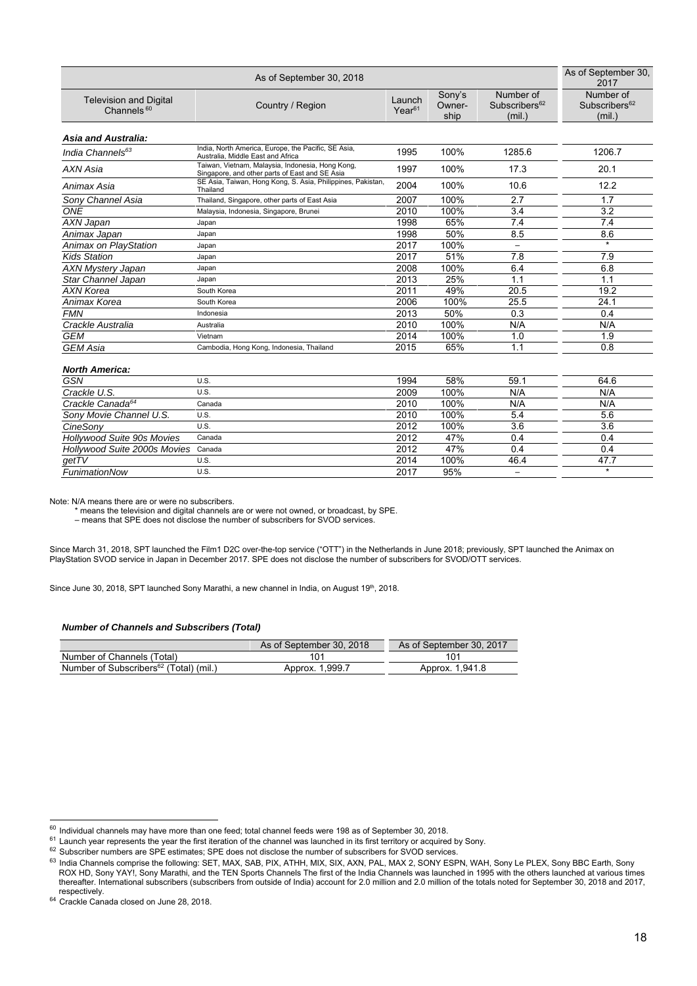|                                                         | As of September 30,<br>2017                                                                        |                       |                          |                                                  |                                                  |
|---------------------------------------------------------|----------------------------------------------------------------------------------------------------|-----------------------|--------------------------|--------------------------------------------------|--------------------------------------------------|
| <b>Television and Digital</b><br>Channels <sup>60</sup> | Country / Region                                                                                   | Launch<br>$Year^{61}$ | Sony's<br>Owner-<br>ship | Number of<br>Subscribers <sup>62</sup><br>(mil.) | Number of<br>Subscribers <sup>62</sup><br>(mil.) |
| <b>Asia and Australia:</b>                              |                                                                                                    |                       |                          |                                                  |                                                  |
| India Channels <sup>63</sup>                            | India, North America, Europe, the Pacific, SE Asia,<br>Australia, Middle East and Africa           | 1995                  | 100%                     | 1285.6                                           | 1206.7                                           |
| AXN Asia                                                | Taiwan, Vietnam, Malaysia, Indonesia, Hong Kong,<br>Singapore, and other parts of East and SE Asia | 1997                  | 100%                     | 17.3                                             | 20.1                                             |
| Animax Asia                                             | SE Asia, Taiwan, Hong Kong, S. Asia, Philippines, Pakistan,<br>Thailand                            | 2004                  | 100%                     | 10.6                                             | 12.2                                             |
| Sony Channel Asia                                       | Thailand, Singapore, other parts of East Asia                                                      | 2007                  | 100%                     | 2.7                                              | 1.7                                              |
| ONE                                                     | Malaysia, Indonesia, Singapore, Brunei                                                             | 2010                  | 100%                     | 3.4                                              | 3.2                                              |
| AXN Japan                                               | Japan                                                                                              | 1998                  | 65%                      | 7.4                                              | 7.4                                              |
| Animax Japan                                            | Japan                                                                                              | 1998                  | 50%                      | 8.5                                              | 8.6                                              |
| <b>Animax on PlayStation</b>                            | Japan                                                                                              | 2017                  | 100%                     | $\overline{\phantom{0}}$                         | $\star$                                          |
| <b>Kids Station</b>                                     | Japan                                                                                              | 2017                  | 51%                      | 7.8                                              | 7.9                                              |
| <b>AXN Mystery Japan</b>                                | Japan                                                                                              | 2008                  | 100%                     | 6.4                                              | 6.8                                              |
| Star Channel Japan                                      | Japan                                                                                              | 2013                  | 25%                      | 1.1                                              | 1.1                                              |
| <b>AXN Korea</b>                                        | South Korea                                                                                        | 2011                  | 49%                      | 20.5                                             | 19.2                                             |
| Animax Korea                                            | South Korea                                                                                        | 2006                  | 100%                     | 25.5                                             | 24.1                                             |
| <b>FMN</b>                                              | Indonesia                                                                                          | 2013                  | 50%                      | 0.3                                              | 0.4                                              |
| Crackle Australia                                       | Australia                                                                                          | 2010                  | 100%                     | N/A                                              | N/A                                              |
| <b>GEM</b>                                              | Vietnam                                                                                            | 2014                  | 100%                     | 1.0                                              | 1.9                                              |
| <b>GEM</b> Asia                                         | Cambodia, Hong Kong, Indonesia, Thailand                                                           | 2015                  | 65%                      | 1.1                                              | 0.8                                              |
| <b>North America:</b>                                   |                                                                                                    |                       |                          |                                                  |                                                  |
| <b>GSN</b>                                              | U.S.                                                                                               | 1994                  | 58%                      | 59.1                                             | 64.6                                             |
| Crackle U.S.                                            | U.S.                                                                                               | 2009                  | 100%                     | N/A                                              | N/A                                              |
| Crackle Canada <sup>64</sup>                            | Canada                                                                                             | 2010                  | 100%                     | N/A                                              | N/A                                              |
| Sony Movie Channel U.S.                                 | U.S.                                                                                               | 2010                  | 100%                     | 5.4                                              | 5.6                                              |
| CineSony                                                | U.S.                                                                                               | 2012                  | 100%                     | 3.6                                              | 3.6                                              |
| Hollywood Suite 90s Movies                              | Canada                                                                                             | 2012                  | 47%                      | 0.4                                              | 0.4                                              |
| Hollywood Suite 2000s Movies                            | Canada                                                                                             | 2012                  | 47%                      | 0.4                                              | 0.4                                              |
| getTV                                                   | U.S.                                                                                               | 2014                  | 100%                     | 46.4                                             | 47.7                                             |
| FunimationNow                                           | U.S.                                                                                               | 2017                  | 95%                      | $\overline{\phantom{0}}$                         | $\star$                                          |

Note: N/A means there are or were no subscribers.

\* means the television and digital channels are or were not owned, or broadcast, by SPE.

– means that SPE does not disclose the number of subscribers for SVOD services.

Since March 31, 2018, SPT launched the Film1 D2C over-the-top service ("OTT") in the Netherlands in June 2018; previously, SPT launched the Animax on PlayStation SVOD service in Japan in December 2017. SPE does not disclose the number of subscribers for SVOD/OTT services.

Since June 30, 2018, SPT launched Sony Marathi, a new channel in India, on August 19<sup>th</sup>, 2018.

#### *Number of Channels and Subscribers (Total)*

|                                                    | As of September 30, 2018 | As of September 30, 2017 |
|----------------------------------------------------|--------------------------|--------------------------|
| Number of Channels (Total)                         | 101                      | 101                      |
| Number of Subscribers <sup>62</sup> (Total) (mil.) | Approx. 1,999.7          | Approx 1,941.8           |

 $^{60}$  Individual channels may have more than one feed; total channel feeds were 198 as of September 30, 2018.

<sup>&</sup>lt;sup>61</sup> Launch year represents the year the first iteration of the channel was launched in its first territory or acquired by Sony.<br><sup>62</sup> Subscriber numbers are SPE estimates; SPE does not disclose the number of subscribers fo

<sup>63</sup> India Channels comprise the following: SET, MAX, SAB, PIX, ATHH, MIX, SIX, AXN, PAL, MAX 2, SONY ESPN, WAH, Sony Le PLEX, Sony BBC Earth, Sony ROX HD, Sony YAY!, Sony Marathi, and the TEN Sports Channels The first of the India Channels was launched in 1995 with the others launched at various times thereafter. International subscribers (subscribers from outside of India) account for 2.0 million and 2.0 million of the totals noted for September 30, 2018 and 2017, respectively.

<sup>64</sup> Crackle Canada closed on June 28, 2018.